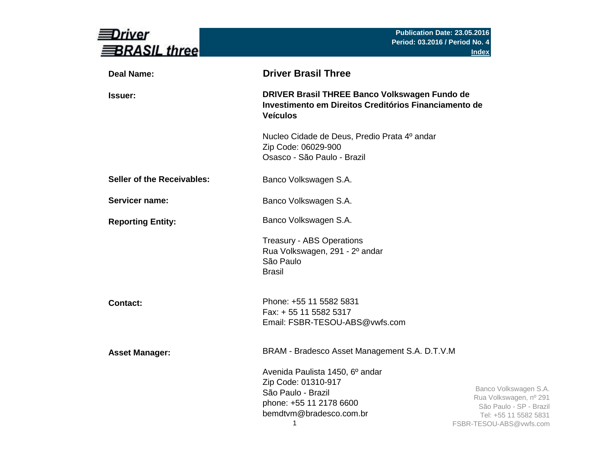| river<br><b>BRASIL three</b>      |                                                                                                                                         | Publication Date: 23.05.2016<br>Period: 03.2016 / Period No. 4<br><b>Index</b>                                                 |
|-----------------------------------|-----------------------------------------------------------------------------------------------------------------------------------------|--------------------------------------------------------------------------------------------------------------------------------|
| <b>Deal Name:</b>                 | <b>Driver Brasil Three</b>                                                                                                              |                                                                                                                                |
| <b>Issuer:</b>                    | DRIVER Brasil THREE Banco Volkswagen Fundo de<br>Investimento em Direitos Creditórios Financiamento de<br><b>Veículos</b>               |                                                                                                                                |
|                                   | Nucleo Cidade de Deus, Predio Prata 4º andar<br>Zip Code: 06029-900<br>Osasco - São Paulo - Brazil                                      |                                                                                                                                |
| <b>Seller of the Receivables:</b> | Banco Volkswagen S.A.                                                                                                                   |                                                                                                                                |
| Servicer name:                    | Banco Volkswagen S.A.                                                                                                                   |                                                                                                                                |
| <b>Reporting Entity:</b>          | Banco Volkswagen S.A.                                                                                                                   |                                                                                                                                |
|                                   | <b>Treasury - ABS Operations</b><br>Rua Volkswagen, 291 - 2º andar<br>São Paulo<br><b>Brasil</b>                                        |                                                                                                                                |
| <b>Contact:</b>                   | Phone: +55 11 5582 5831<br>Fax: + 55 11 5582 5317<br>Email: FSBR-TESOU-ABS@vwfs.com                                                     |                                                                                                                                |
| <b>Asset Manager:</b>             | BRAM - Bradesco Asset Management S.A. D.T.V.M                                                                                           |                                                                                                                                |
|                                   | Avenida Paulista 1450, 6º andar<br>Zip Code: 01310-917<br>São Paulo - Brazil<br>phone: +55 11 2178 6600<br>bemdtvm@bradesco.com.br<br>1 | Banco Volkswagen S.A.<br>Rua Volkswagen, nº 291<br>São Paulo - SP - Brazil<br>Tel: +55 11 5582 5831<br>FSBR-TESOU-ABS@vwfs.com |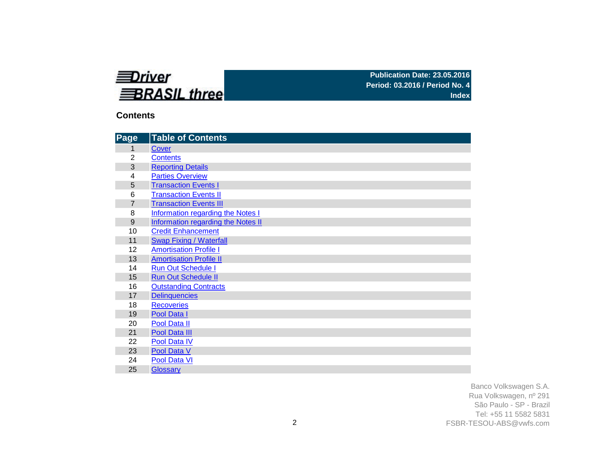

### **Contents**

| Page           | <b>Table of Contents</b>                  |
|----------------|-------------------------------------------|
| 1              | Cover                                     |
| $\overline{2}$ | <b>Contents</b>                           |
| 3              | <b>Reporting Details</b>                  |
| 4              | <b>Parties Overview</b>                   |
| 5              | <b>Transaction Events I</b>               |
| 6              | <b>Transaction Events II</b>              |
| $\overline{7}$ | <b>Transaction Events III</b>             |
| 8              | Information regarding the Notes I         |
| 9              | <b>Information regarding the Notes II</b> |
| 10             | <b>Credit Enhancement</b>                 |
| 11             | <b>Swap Fixing / Waterfall</b>            |
| 12             | <b>Amortisation Profile I</b>             |
| 13             | <b>Amortisation Profile II</b>            |
| 14             | <b>Run Out Schedule I</b>                 |
| 15             | <b>Run Out Schedule II</b>                |
| 16             | <b>Outstanding Contracts</b>              |
| 17             | <b>Delinquencies</b>                      |
| 18             | <b>Recoveries</b>                         |
| 19             | Pool Data I                               |
| 20             | Pool Data II                              |
| 21             | Pool Data III                             |
| 22             | Pool Data IV                              |
| 23             | Pool Data V                               |
| 24             | Pool Data VI                              |
| 25             | <b>Glossary</b>                           |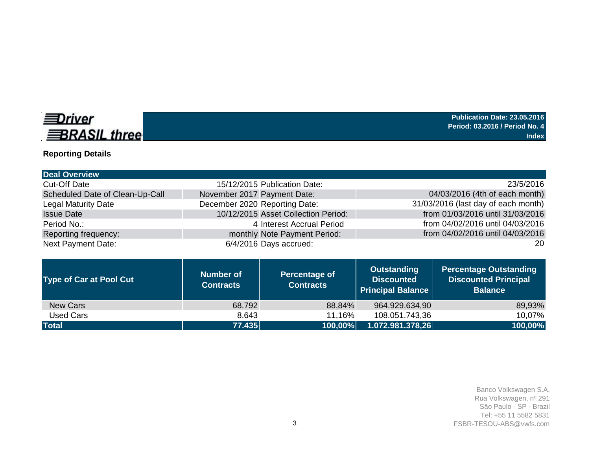

# **Reporting Details**

| <b>Deal Overview</b>            |                                      |                                          |                                                                     |                                                                                |
|---------------------------------|--------------------------------------|------------------------------------------|---------------------------------------------------------------------|--------------------------------------------------------------------------------|
| <b>Cut-Off Date</b>             |                                      | 15/12/2015 Publication Date:             |                                                                     | 23/5/2016                                                                      |
| Scheduled Date of Clean-Up-Call | November 2017 Payment Date:          |                                          |                                                                     | 04/03/2016 (4th of each month)                                                 |
| <b>Legal Maturity Date</b>      | December 2020 Reporting Date:        |                                          |                                                                     | 31/03/2016 (last day of each month)                                            |
| <b>Issue Date</b>               |                                      | 10/12/2015 Asset Collection Period:      |                                                                     | from 01/03/2016 until 31/03/2016                                               |
| Period No.:                     |                                      | 4 Interest Accrual Period                |                                                                     | from 04/02/2016 until 04/03/2016                                               |
| Reporting frequency:            |                                      | monthly Note Payment Period:             |                                                                     | from 04/02/2016 until 04/03/2016                                               |
| <b>Next Payment Date:</b>       |                                      | 6/4/2016 Days accrued:                   |                                                                     | 20                                                                             |
|                                 |                                      |                                          |                                                                     |                                                                                |
| <b>Type of Car at Pool Cut</b>  | <b>Number of</b><br><b>Contracts</b> | <b>Percentage of</b><br><b>Contracts</b> | <b>Outstanding</b><br><b>Discounted</b><br><b>Principal Balance</b> | <b>Percentage Outstanding</b><br><b>Discounted Principal</b><br><b>Balance</b> |

New Cars 68.792 88,84% 964.929.634,90 89,93% 11,16% 108.051.743,36 **Total 77.435 100,00% 1.072.981.378,26 100,00%**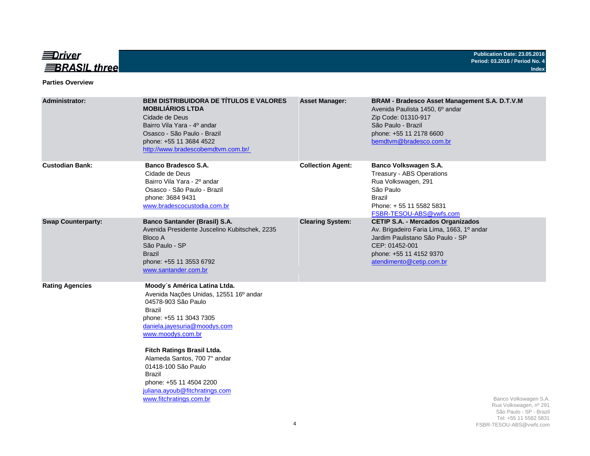

#### **Parties Overview**

| <b>Administrator:</b>     | <b>BEM DISTRIBUIDORA DE TÍTULOS E VALORES</b><br><b>MOBILIÁRIOS LTDA</b><br>Cidade de Deus<br>Bairro Vila Yara - 4º andar<br>Osasco - São Paulo - Brazil<br>phone: +55 11 3684 4522<br>http://www.bradescobemdtvm.com.br/                                                                                                                                                             | <b>Asset Manager:</b>    | BRAM - Bradesco Asset Management S.A. D.T.V.M<br>Avenida Paulista 1450, 6º andar<br>Zip Code: 01310-917<br>São Paulo - Brazil<br>phone: +55 11 2178 6600<br>bemdtvm@bradesco.com.br                |
|---------------------------|---------------------------------------------------------------------------------------------------------------------------------------------------------------------------------------------------------------------------------------------------------------------------------------------------------------------------------------------------------------------------------------|--------------------------|----------------------------------------------------------------------------------------------------------------------------------------------------------------------------------------------------|
| <b>Custodian Bank:</b>    | <b>Banco Bradesco S.A.</b><br>Cidade de Deus<br>Bairro Vila Yara - 2º andar<br>Osasco - São Paulo - Brazil<br>phone: 3684 9431<br>www.bradescocustodia.com.br                                                                                                                                                                                                                         | <b>Collection Agent:</b> | Banco Volkswagen S.A.<br>Treasury - ABS Operations<br>Rua Volkswagen, 291<br>São Paulo<br><b>Brazil</b><br>Phone: +55 11 5582 5831<br>FSBR-TESOU-ABS@vwfs.com                                      |
| <b>Swap Counterparty:</b> | <b>Banco Santander (Brasil) S.A.</b><br>Avenida Presidente Juscelino Kubitschek, 2235<br>Bloco A<br>São Paulo - SP<br><b>Brazil</b><br>phone: +55 11 3553 6792<br>www.santander.com.br                                                                                                                                                                                                | <b>Clearing System:</b>  | <b>CETIP S.A. - Mercados Organizados</b><br>Av. Brigadeiro Faria Lima, 1663, 1º andar<br>Jardim Paulistano São Paulo - SP<br>CEP: 01452-001<br>phone: +55 11 4152 9370<br>atendimento@cetip.com.br |
| <b>Rating Agencies</b>    | Moody's América Latina Ltda.<br>Avenida Nações Unidas, 12551 16º andar<br>04578-903 São Paulo<br><b>Brazil</b><br>phone: +55 11 3043 7305<br>daniela.jayesuria@moodys.com<br>www.moodys.com.br<br>Fitch Ratings Brasil Ltda.<br>Alameda Santos, 700 7° andar<br>01418-100 São Paulo<br>Brazil<br>phone: +55 11 4504 2200<br>juliana.ayoub@fitchratings.com<br>www.fitchratings.com.br |                          | Banco Volkswagen S.A.<br>Rua Volkswagen, nº 291<br>São Paulo - SP - Brazil<br>Tel: +55 11 5582 5831                                                                                                |
|                           |                                                                                                                                                                                                                                                                                                                                                                                       | 4                        | FSBR-TESOU-ABS@vwfs.com                                                                                                                                                                            |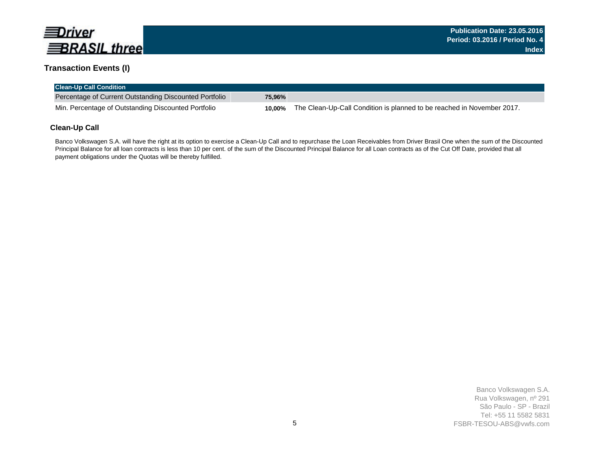

### **Transaction Events (I)**

| <b>Clean-Up Call Condition</b>                         |        |                                                                        |
|--------------------------------------------------------|--------|------------------------------------------------------------------------|
| Percentage of Current Outstanding Discounted Portfolio | 75.96% |                                                                        |
| Min. Percentage of Outstanding Discounted Portfolio    | 10.00% | The Clean-Up-Call Condition is planned to be reached in November 2017. |

### **Clean-Up Call**

Banco Volkswagen S.A. will have the right at its option to exercise a Clean-Up Call and to repurchase the Loan Receivables from Driver Brasil One when the sum of the Discounted Principal Balance for all loan contracts is less than 10 per cent. of the sum of the Discounted Principal Balance for all Loan contracts as of the Cut Off Date, provided that all payment obligations under the Quotas will be thereby fulfilled.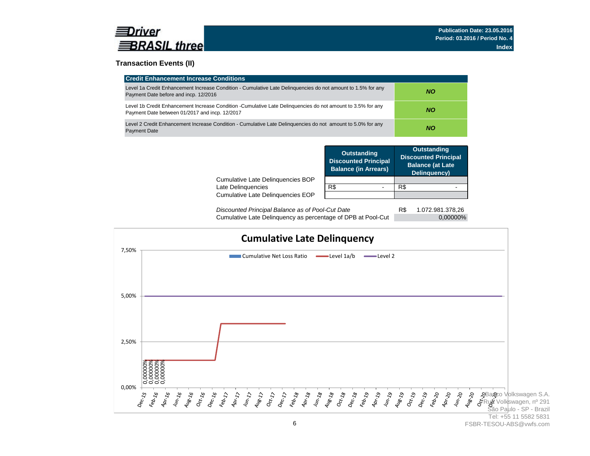

### **Transaction Events (II)**

| <b>Credit Enhancement Increase Conditions</b>                                                                                                                 |           |
|---------------------------------------------------------------------------------------------------------------------------------------------------------------|-----------|
| Level 1a Credit Enhancement Increase Condition - Cumulative Late Delinguencies do not amount to 1.5% for any<br>Payment Date before and incp. 12/2016         | NO.       |
| Level 1b Credit Enhancement Increase Condition -Cumulative Late Delinguencies do not amount to 3.5% for any<br>Payment Date between 01/2017 and incp. 12/2017 | NO.       |
| Level 2 Credit Enhancement Increase Condition - Cumulative Late Delinguencies do not amount to 5.0% for any<br><b>Payment Date</b>                            | <b>NO</b> |

|                                   | <b>Outstanding</b><br><b>Discounted Principal</b><br><b>Balance (in Arrears)</b> | <b>Outstanding</b><br><b>Discounted Principal</b><br><b>Balance (at Late</b><br>Delinquency) |
|-----------------------------------|----------------------------------------------------------------------------------|----------------------------------------------------------------------------------------------|
| Cumulative Late Delinguencies BOP |                                                                                  |                                                                                              |
| Late Delinquencies                | R\$                                                                              | R\$                                                                                          |
| Cumulative Late Delinguencies EOP |                                                                                  |                                                                                              |
|                                   |                                                                                  |                                                                                              |

R\$ 1.072.981.378,26 Cumulative Late Delinquency as percentage of DPB at Pool-Cut 0,00000% *Discounted Principal Balance as of Pool-Cut Date*

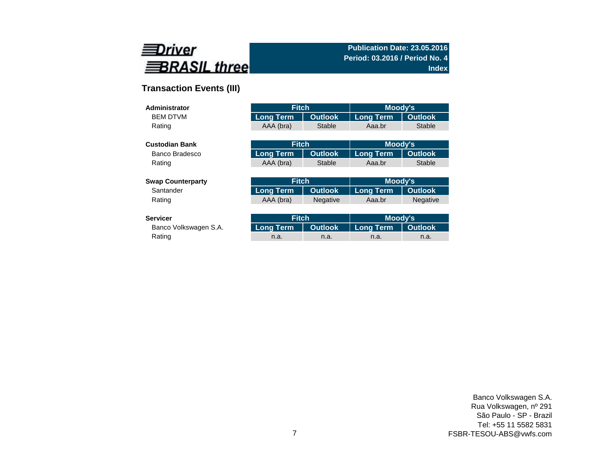

# **Transaction Events (III)**

| Administrator            | <b>Fitch</b>                       |                | <b>Moody's</b>   |                 |  |
|--------------------------|------------------------------------|----------------|------------------|-----------------|--|
| <b>BEM DTVM</b>          | <b>Outlook</b><br><b>Long Term</b> |                | <b>Long Term</b> | <b>Outlook</b>  |  |
| Rating                   | AAA (bra)                          | <b>Stable</b>  | Aaa.br           | <b>Stable</b>   |  |
|                          |                                    |                |                  |                 |  |
| <b>Custodian Bank</b>    | <b>Fitch</b>                       |                | Moody's          |                 |  |
| Banco Bradesco           | <b>Long Term</b>                   | <b>Outlook</b> | <b>Long Term</b> | <b>Outlook</b>  |  |
| Rating                   | AAA (bra)                          | Stable         | Aaa.br           | <b>Stable</b>   |  |
|                          |                                    |                |                  |                 |  |
| <b>Swap Counterparty</b> | <b>Fitch</b>                       |                | Moody's          |                 |  |
| Santander                | <b>Long Term</b>                   | <b>Outlook</b> | <b>Long Term</b> | <b>Outlook</b>  |  |
| Rating                   | AAA (bra)<br><b>Negative</b>       |                | Aaa.br           | <b>Negative</b> |  |
|                          |                                    |                |                  |                 |  |
| <b>Servicer</b>          | <b>Fitch</b>                       |                | Moody's          |                 |  |
| Banco Volkswagen S.A.    | <b>Long Term</b>                   | <b>Outlook</b> | <b>Long Term</b> | <b>Outlook</b>  |  |

Rating and the method of the method is a method in the method in the method in the method in a method in a met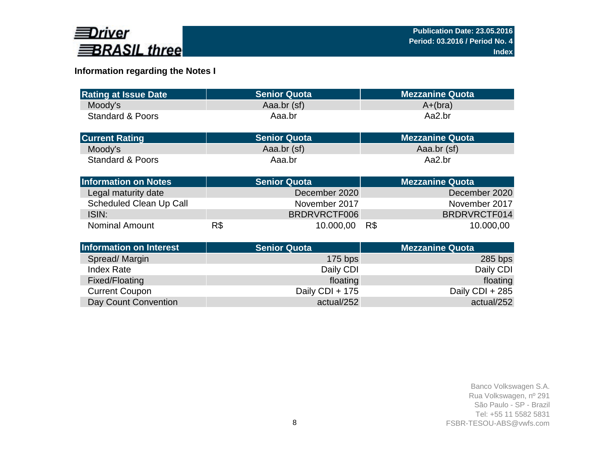

# **Information regarding the Notes I**

| <b>Rating at Issue Date</b>    | <b>Senior Quota</b> | <b>Mezzanine Quota</b> |
|--------------------------------|---------------------|------------------------|
| Moody's                        | Aaa.br (sf)         | $A+(bra)$              |
| <b>Standard &amp; Poors</b>    | Aaa.br              | Aa2.br                 |
| <b>Current Rating</b>          | <b>Senior Quota</b> | <b>Mezzanine Quota</b> |
| Moody's                        | Aaa.br (sf)         | Aaa.br (sf)            |
| <b>Standard &amp; Poors</b>    | Aaa.br              | Aa2.br                 |
| <b>Information on Notes</b>    | <b>Senior Quota</b> | <b>Mezzanine Quota</b> |
| Legal maturity date            | December 2020       | December 2020          |
| <b>Scheduled Clean Up Call</b> | November 2017       | November 2017          |
| ISIN:                          | BRDRVRCTF006        | BRDRVRCTF014           |
| <b>Nominal Amount</b>          | R\$<br>10.000,00    | 10.000,00<br>R\$       |
| <b>Information on Interest</b> | <b>Senior Quota</b> | <b>Mezzanine Quota</b> |
| Spread/Margin                  | $175$ bps           | $285$ bps              |
| <b>Index Rate</b>              | Daily CDI           | Daily CDI              |
| Fixed/Floating                 | floating            | floating               |
| <b>Current Coupon</b>          | Daily CDI + 175     | Daily CDI + 285        |
| Day Count Convention           | actual/252          | actual/252             |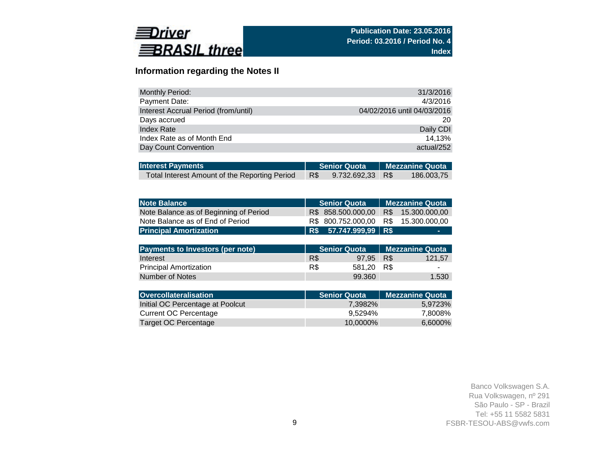

## **Information regarding the Notes II**

| <b>Monthly Period:</b>               | 31/3/2016                   |
|--------------------------------------|-----------------------------|
| Payment Date:                        | 4/3/2016                    |
| Interest Accrual Period (from/until) | 04/02/2016 until 04/03/2016 |
| Days accrued                         | 20                          |
| Index Rate                           | Daily CDI                   |
| Index Rate as of Month End           | 14.13%                      |
| Day Count Convention                 | actual/252                  |

| <b>Interest Payments</b>                      |     | Senior Quota   Mezzanine Quota |  |            |  |
|-----------------------------------------------|-----|--------------------------------|--|------------|--|
| Total Interest Amount of the Reporting Period | R\$ | 9.732.692,33 R\$               |  | 186.003.75 |  |

| <b>Note Balance</b>                     | <b>Senior Quota</b> |                     |     | <b>Mezzanine Quota</b> |
|-----------------------------------------|---------------------|---------------------|-----|------------------------|
| Note Balance as of Beginning of Period  | R\$                 | 858.500.000,00      | R\$ | 15.300.000,00          |
| Note Balance as of End of Period        | R\$                 | 800.752.000,00      | R\$ | 15.300.000,00          |
| <b>Principal Amortization</b>           | R\$                 | 57.747.999,99 R\$   |     |                        |
|                                         |                     |                     |     |                        |
| <b>Payments to Investors (per note)</b> |                     | <b>Senior Quota</b> |     | <b>Mezzanine Quota</b> |
| Interest                                | R\$                 | 97.95               | R\$ | 121,57                 |
| <b>Principal Amortization</b>           | R\$                 | 581,20              | R\$ |                        |
| Number of Notes                         |                     | 99.360              |     | 1.530                  |
|                                         |                     |                     |     |                        |
| <b>Overcollateralisation</b>            |                     | <b>Senior Quota</b> |     | <b>Mezzanine Quota</b> |
| Initial OC Percentage at Poolcut        |                     | 7,3982%             |     | 5,9723%                |
| <b>Current OC Percentage</b>            |                     | 9,5294%             |     | 7,8008%                |
| Target OC Percentage                    |                     | 10,0000%            |     | 6,6000%                |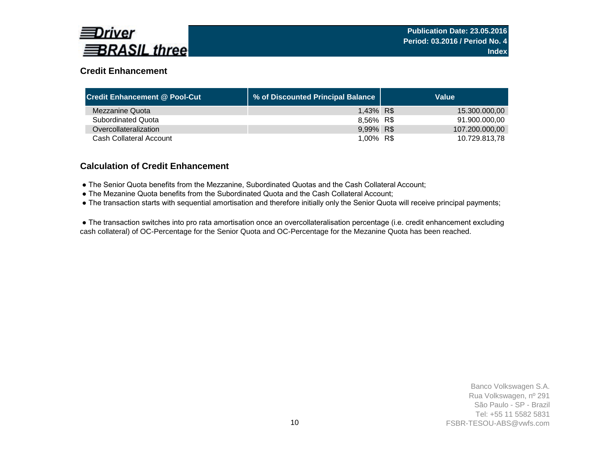

## **Credit Enhancement**

| <b>Credit Enhancement @ Pool-Cut</b> | % of Discounted Principal Balance | Value          |
|--------------------------------------|-----------------------------------|----------------|
| Mezzanine Quota                      | 1,43% R\$                         | 15.300.000,00  |
| <b>Subordinated Quota</b>            | 8,56% R\$                         | 91.900.000.00  |
| Overcollateralization                | 9,99% R\$                         | 107.200.000,00 |
| Cash Collateral Account              | 1,00% R\$                         | 10.729.813.78  |

### **Calculation of Credit Enhancement**

- The Senior Quota benefits from the Mezzanine, Subordinated Quotas and the Cash Collateral Account;
- The Mezanine Quota benefits from the Subordinated Quota and the Cash Collateral Account;
- The transaction starts with sequential amortisation and therefore initially only the Senior Quota will receive principal payments;

 ● The transaction switches into pro rata amortisation once an overcollateralisation percentage (i.e. credit enhancement excluding cash collateral) of OC-Percentage for the Senior Quota and OC-Percentage for the Mezanine Quota has been reached.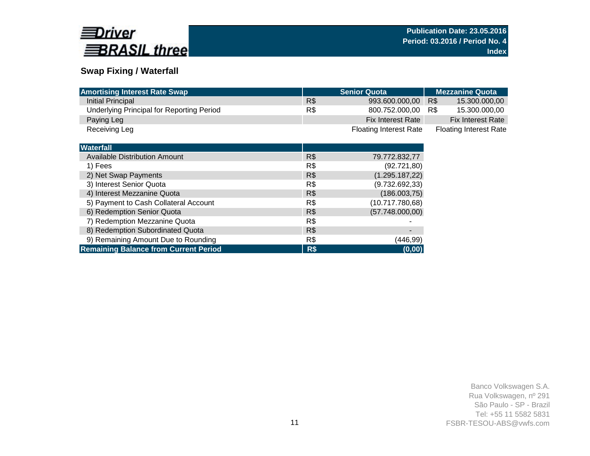

# **Swap Fixing / Waterfall**

| <b>Amortising Interest Rate Swap</b>             |     | <b>Senior Quota</b>           | <b>Mezzanine Quota</b>        |
|--------------------------------------------------|-----|-------------------------------|-------------------------------|
| Initial Principal                                | R\$ | 993.600.000,00                | R\$<br>15.300.000,00          |
| <b>Underlying Principal for Reporting Period</b> | R\$ | 800.752.000,00                | 15.300.000,00<br>R\$          |
| Paying Leg                                       |     | Fix Interest Rate             | <b>Fix Interest Rate</b>      |
| Receiving Leg                                    |     | <b>Floating Interest Rate</b> | <b>Floating Interest Rate</b> |
|                                                  |     |                               |                               |
| <b>Waterfall</b>                                 |     |                               |                               |
| <b>Available Distribution Amount</b>             | R\$ | 79.772.832,77                 |                               |
| 1) Fees                                          | R\$ | (92.721, 80)                  |                               |
| 2) Net Swap Payments                             | R\$ | (1.295.187, 22)               |                               |
| 3) Interest Senior Quota                         | R\$ | (9.732.692, 33)               |                               |
| 4) Interest Mezzanine Quota                      | R\$ | (186.003,75)                  |                               |
| 5) Payment to Cash Collateral Account            | R\$ | (10.717.780,68)               |                               |
| 6) Redemption Senior Quota                       | R\$ | (57.748.000,00)               |                               |
| 7) Redemption Mezzanine Quota                    | R\$ |                               |                               |
| 8) Redemption Subordinated Quota                 | R\$ | $\overline{\phantom{0}}$      |                               |
| 9) Remaining Amount Due to Rounding              | R\$ | (446, 99)                     |                               |
| <b>Remaining Balance from Current Period</b>     | R\$ | (0,00)                        |                               |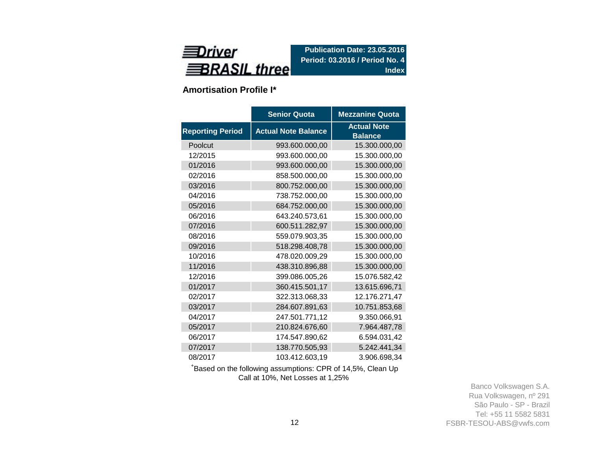

**Amortisation Profile I\***

|                         | <b>Senior Quota</b>        | <b>Mezzanine Quota</b>               |
|-------------------------|----------------------------|--------------------------------------|
| <b>Reporting Period</b> | <b>Actual Note Balance</b> | <b>Actual Note</b><br><b>Balance</b> |
| Poolcut                 | 993.600.000,00             | 15.300.000,00                        |
| 12/2015                 | 993.600.000,00             | 15.300.000,00                        |
| 01/2016                 | 993.600.000,00             | 15.300.000,00                        |
| 02/2016                 | 858.500.000,00             | 15.300.000,00                        |
| 03/2016                 | 800.752.000,00             | 15.300.000,00                        |
| 04/2016                 | 738.752.000,00             | 15.300.000,00                        |
| 05/2016                 | 684.752.000,00             | 15.300.000,00                        |
| 06/2016                 | 643.240.573,61             | 15.300.000,00                        |
| 07/2016                 | 600.511.282,97             | 15.300.000,00                        |
| 08/2016                 | 559.079.903,35             | 15.300.000,00                        |
| 09/2016                 | 518.298.408,78             | 15.300.000,00                        |
| 10/2016                 | 478.020.009,29             | 15.300.000,00                        |
| 11/2016                 | 438.310.896,88             | 15.300.000,00                        |
| 12/2016                 | 399.086.005,26             | 15.076.582,42                        |
| 01/2017                 | 360.415.501,17             | 13.615.696,71                        |
| 02/2017                 | 322.313.068,33             | 12.176.271,47                        |
| 03/2017                 | 284.607.891,63             | 10.751.853,68                        |
| 04/2017                 | 247.501.771,12             | 9.350.066,91                         |
| 05/2017                 | 210.824.676,60             | 7.964.487,78                         |
| 06/2017                 | 174.547.890,62             | 6.594.031,42                         |
| 07/2017                 | 138.770.505,93             | 5.242.441,34                         |
| 08/2017                 | 103.412.603,19             | 3.906.698,34                         |

<sup>+</sup>Based on the following assumptions: CPR of 14,5%, Clean Up Call at 10%, Net Losses at 1,25%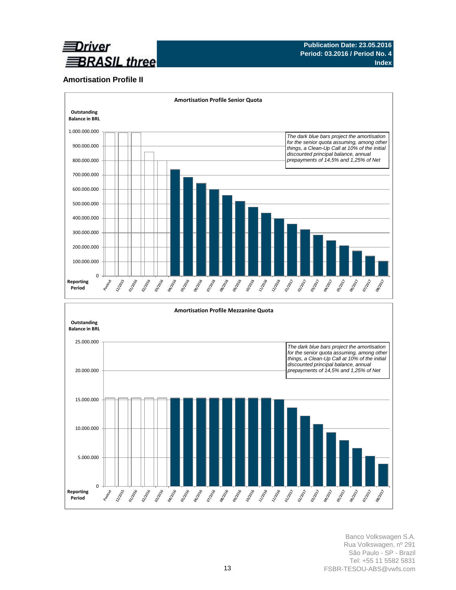

### **Amortisation Profile II**

0

Agocotic

**Hydrock** ozlovec

**Reporting Period**



Banco Volkswagen S.A. Rua Volkswagen, nº 291 São Paulo - SP - Brazil Tel: +55 11 5582 5831 FSBR-TESOU-ABS@vwfs.com

**Manufacture** 

**SIDROW PARTICIPALE**  Journal R

**BURNER** 

**MARIATION** 

**MARITAGE** 

**DIVIDED PARK BRANCE** 

**PATROL** 

BEIRDER OSTRON

**ONTROP** 

**Barrows** 

**BRANCH** OSTRONE

**BANQUE** 

**PINDICE**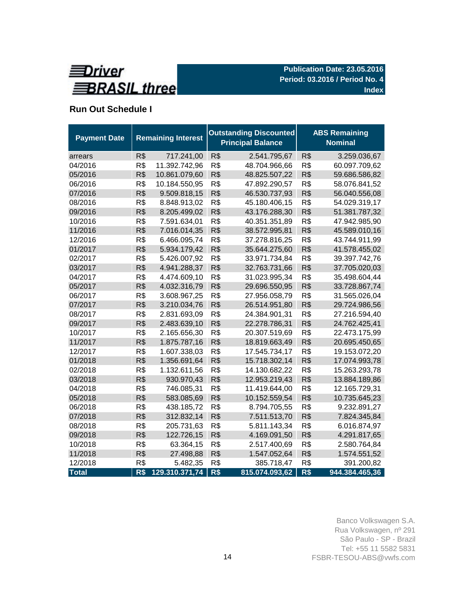

# **Run Out Schedule I**

| <b>Payment Date</b> | <b>Remaining Interest</b> |                |     | <b>Outstanding Discounted</b><br><b>Principal Balance</b> | <b>ABS Remaining</b><br><b>Nominal</b> |                |  |
|---------------------|---------------------------|----------------|-----|-----------------------------------------------------------|----------------------------------------|----------------|--|
| arrears             | R\$                       | 717.241,00     | R\$ | 2.541.795,67                                              | R\$                                    | 3.259.036,67   |  |
| 04/2016             | R\$                       | 11.392.742,96  | R\$ | 48.704.966,66                                             | R\$                                    | 60.097.709,62  |  |
| 05/2016             | R\$                       | 10.861.079,60  | R\$ | 48.825.507,22                                             | R\$                                    | 59.686.586,82  |  |
| 06/2016             | R\$                       | 10.184.550,95  | R\$ | 47.892.290,57                                             | R\$                                    | 58.076.841,52  |  |
| 07/2016             | R\$                       | 9.509.818,15   | R\$ | 46.530.737,93                                             | R\$                                    | 56.040.556,08  |  |
| 08/2016             | R\$                       | 8.848.913,02   | R\$ | 45.180.406,15                                             | R\$                                    | 54.029.319,17  |  |
| 09/2016             | R\$                       | 8.205.499,02   | R\$ | 43.176.288,30                                             | R\$                                    | 51.381.787,32  |  |
| 10/2016             | R\$                       | 7.591.634,01   | R\$ | 40.351.351,89                                             | R\$                                    | 47.942.985,90  |  |
| 11/2016             | R\$                       | 7.016.014,35   | R\$ | 38.572.995,81                                             | R\$                                    | 45.589.010,16  |  |
| 12/2016             | R\$                       | 6.466.095,74   | R\$ | 37.278.816,25                                             | R\$                                    | 43.744.911,99  |  |
| 01/2017             | R\$                       | 5.934.179,42   | R\$ | 35.644.275,60                                             | R\$                                    | 41.578.455,02  |  |
| 02/2017             | R\$                       | 5.426.007,92   | R\$ | 33.971.734,84                                             | R\$                                    | 39.397.742,76  |  |
| 03/2017             | R\$                       | 4.941.288,37   | R\$ | 32.763.731,66                                             | R\$                                    | 37.705.020,03  |  |
| 04/2017             | R\$                       | 4.474.609,10   | R\$ | 31.023.995,34                                             | R\$                                    | 35.498.604,44  |  |
| 05/2017             | R\$                       | 4.032.316,79   | R\$ | 29.696.550,95                                             | R\$                                    | 33.728.867,74  |  |
| 06/2017             | R\$                       | 3.608.967,25   | R\$ | 27.956.058,79                                             | R\$                                    | 31.565.026,04  |  |
| 07/2017             | R\$                       | 3.210.034,76   | R\$ | 26.514.951,80                                             | R\$                                    | 29.724.986,56  |  |
| 08/2017             | R\$                       | 2.831.693,09   | R\$ | 24.384.901,31                                             | R\$                                    | 27.216.594,40  |  |
| 09/2017             | R\$                       | 2.483.639,10   | R\$ | 22.278.786,31                                             | R\$                                    | 24.762.425,41  |  |
| 10/2017             | R\$                       | 2.165.656,30   | R\$ | 20.307.519,69                                             | R\$                                    | 22.473.175,99  |  |
| 11/2017             | R\$                       | 1.875.787,16   | R\$ | 18.819.663,49                                             | R\$                                    | 20.695.450,65  |  |
| 12/2017             | R\$                       | 1.607.338,03   | R\$ | 17.545.734,17                                             | R\$                                    | 19.153.072,20  |  |
| 01/2018             | R\$                       | 1.356.691,64   | R\$ | 15.718.302,14                                             | R\$                                    | 17.074.993,78  |  |
| 02/2018             | R\$                       | 1.132.611,56   | R\$ | 14.130.682,22                                             | R\$                                    | 15.263.293,78  |  |
| 03/2018             | R\$                       | 930.970,43     | R\$ | 12.953.219,43                                             | R\$                                    | 13.884.189,86  |  |
| 04/2018             | R\$                       | 746.085,31     | R\$ | 11.419.644,00                                             | R\$                                    | 12.165.729,31  |  |
| 05/2018             | R\$                       | 583.085,69     | R\$ | 10.152.559,54                                             | R\$                                    | 10.735.645,23  |  |
| 06/2018             | R\$                       | 438.185,72     | R\$ | 8.794.705,55                                              | R\$                                    | 9.232.891,27   |  |
| 07/2018             | R\$                       | 312.832,14     | R\$ | 7.511.513,70                                              | R\$                                    | 7.824.345,84   |  |
| 08/2018             | R\$                       | 205.731,63     | R\$ | 5.811.143,34                                              | R\$                                    | 6.016.874,97   |  |
| 09/2018             | R\$                       | 122.726,15     | R\$ | 4.169.091,50                                              | R\$                                    | 4.291.817,65   |  |
| 10/2018             | R\$                       | 63.364,15      | R\$ | 2.517.400,69                                              | R\$                                    | 2.580.764,84   |  |
| 11/2018             | R\$                       | 27.498,88      | R\$ | 1.547.052,64                                              | R\$                                    | 1.574.551,52   |  |
| 12/2018             | R\$                       | 5.482,35       | R\$ | 385.718,47                                                | R\$                                    | 391.200,82     |  |
| <b>Total</b>        | R\$                       | 129.310.371,74 | R\$ | 815.074.093,62                                            | R\$                                    | 944.384.465,36 |  |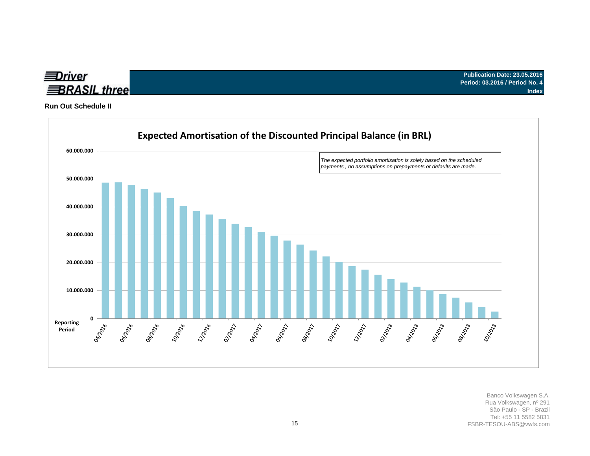

**Run Out Schedule II**

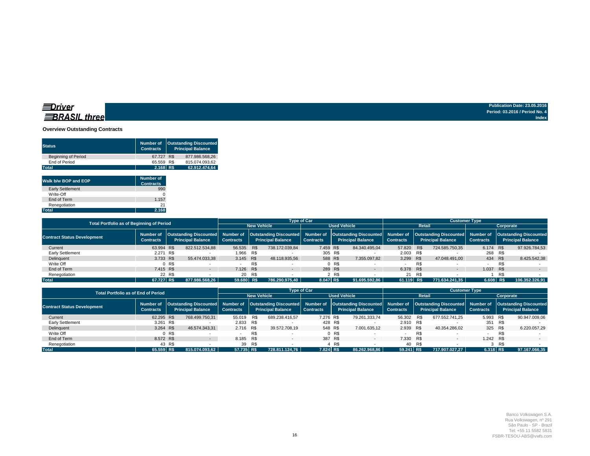#### **Overview Outstanding Contracts**

| <b>Status</b>              | Number of<br><b>Contracts</b> | <b>Outstanding Discounted</b><br><b>Principal Balance</b> |                |  |  |  |
|----------------------------|-------------------------------|-----------------------------------------------------------|----------------|--|--|--|
| <b>Beginning of Period</b> | 67.727 R\$                    |                                                           | 877.986.568.26 |  |  |  |
| End of Period              | 65.559 R\$                    |                                                           | 815.074.093.62 |  |  |  |
| <b>Total</b>               | 2.168 R\$                     |                                                           | 62.912.474.64  |  |  |  |

| Walk b/w BOP and EOP    | Number of<br><b>Contracts</b> |
|-------------------------|-------------------------------|
| <b>Early Settlement</b> | 990                           |
| Write-Off               |                               |
| End of Term             | 1.157                         |
| Renegotiation           | 21                            |
| <b>Total</b>            | 2.168                         |

| <b>Total Portfolio as of Beginning of Period</b> |                  |        |                          |                     | <b>Type of Car</b> |                          |                  | <b>Customer Type</b> |                                                                                                                                                                 |                  |        |                          |                  |     |                                                                |
|--------------------------------------------------|------------------|--------|--------------------------|---------------------|--------------------|--------------------------|------------------|----------------------|-----------------------------------------------------------------------------------------------------------------------------------------------------------------|------------------|--------|--------------------------|------------------|-----|----------------------------------------------------------------|
|                                                  |                  |        | <b>New Vehicle</b>       | <b>Used Vehicle</b> |                    |                          | Retail           |                      |                                                                                                                                                                 | Corporate        |        |                          |                  |     |                                                                |
| <b>Contract Status Development</b>               | <b>Contracts</b> |        | <b>Principal Balance</b> | <b>Contracts</b>    |                    | <b>Principal Balance</b> | <b>Contracts</b> |                      | Number of Outstanding Discounted Number of Outstanding Discounted Number of Outstanding Discounted Number of Outstanding Discounted<br><b>Principal Balance</b> | <b>Contracts</b> |        | <b>Principal Balance</b> | <b>Contracts</b> |     | Number of   Outstanding Discounted<br><b>Principal Balance</b> |
| Current                                          | 63.994 R\$       |        | 822.512.534.88           | 56.535 R\$          |                    | 738.172.039.84           | 7.459 R\$        |                      | 84.340.495.04                                                                                                                                                   | 57,820 R\$       |        | 724.585.750.35           | 6.174 R\$        |     | 97.926.784.53                                                  |
| Early Settlement                                 | 2.271 R\$        |        |                          | 1.966 R\$           |                    |                          |                  | 305 R\$              |                                                                                                                                                                 | 2.003 R\$        |        |                          | 268 R\$          |     |                                                                |
| Delinguent                                       | 3.733 R\$        |        | 55.474.033.38            | 3.145 R\$           |                    | 48.118.935.56            |                  | 588 R\$              | 7.355.097.82                                                                                                                                                    | 3.299 R\$        |        | 47.048.491.00            | 434 R\$          |     | 8.425.542.38                                                   |
| Write Off                                        |                  | 0 R\$  |                          |                     | R\$                |                          |                  | 0 R\$                |                                                                                                                                                                 |                  | R\$    |                          |                  |     |                                                                |
| End of Term                                      | 7.415 R\$        |        | $-$                      | 7.126 R\$           |                    |                          |                  | 289 R\$              | $\sim$                                                                                                                                                          | 6.378 R\$        |        | $\overline{a}$           | 1.037 R\$        |     |                                                                |
| Renegotiation                                    |                  | 22 R\$ |                          | 20                  | R\$                |                          |                  | $\times$ R\$         |                                                                                                                                                                 |                  | 21 R\$ |                          |                  | R\$ |                                                                |
| <b>Total</b>                                     | 67.727 R\$       |        | 877.986.568.26           | 59.680 R\$          |                    | 786.290.975.40           | 8.047 R\$        |                      | 91.695.592.86                                                                                                                                                   | 61.119 R\$       |        | 771.634.241.35           | 6.608 R\$        |     | 106.352.326.91                                                 |

| <b>Total Portfolio as of End of Period</b> |                                                                                                                                                                                                                                                                                                                                    |        |                    |                          | <b>Type of Car</b> |                  |                          | <b>Customer Type</b> |               |            |        |                          |             |     |               |
|--------------------------------------------|------------------------------------------------------------------------------------------------------------------------------------------------------------------------------------------------------------------------------------------------------------------------------------------------------------------------------------|--------|--------------------|--------------------------|--------------------|------------------|--------------------------|----------------------|---------------|------------|--------|--------------------------|-------------|-----|---------------|
|                                            |                                                                                                                                                                                                                                                                                                                                    |        | <b>New Vehicle</b> | <b>Used Vehicle</b>      |                    |                  | <b>Retail</b>            |                      |               | Corporate  |        |                          |             |     |               |
| <b>Contract Status Development</b>         | Outstanding Discounted  Number of  Outstanding Discounted  Number of  Outstanding Discounted  Number of  Outstanding Discounted <br>Number of   Outstanding Discounted   Number of<br><b>Principal Balance</b><br><b>Principal Balance</b><br><b>Principal Balance</b><br><b>Contracts</b><br><b>Contracts</b><br><b>Contracts</b> |        | <b>Contracts</b>   | <b>Principal Balance</b> |                    | <b>Contracts</b> | <b>Principal Balance</b> |                      |               |            |        |                          |             |     |               |
| Current                                    | 62.295 R\$                                                                                                                                                                                                                                                                                                                         |        | 768.499.750.31     | 55.019 R\$               |                    | 689.238.416.57   | 7.276 R\$                |                      | 79.261.333.74 | 56.302 R\$ |        | 677.552.741.25           | 5.993 R\$   |     | 90.947.009.06 |
| Early Settlement                           | 3.261 R\$                                                                                                                                                                                                                                                                                                                          |        |                    | 2.833 R\$                |                    |                  |                          | 428 R\$              |               | 2.910 R\$  |        |                          | 351 R\$     |     |               |
| Delinguent                                 | 3.264 R\$                                                                                                                                                                                                                                                                                                                          |        | 46.574.343.31      | 2.716 R\$                |                    | 39.572.708.19    |                          | 548 R\$              | 7.001.635.12  | 2.939 R\$  |        | 40.354.286.02            | 325 R\$     |     | 6.220.057,29  |
| Write Off                                  |                                                                                                                                                                                                                                                                                                                                    | 0 R\$  |                    |                          | R\$                |                  |                          | 0 R\$                |               |            | R\$    |                          |             | R\$ |               |
| End of Term                                | 8.572 R\$                                                                                                                                                                                                                                                                                                                          |        | $\sim$ 100 $\mu$   | 8.185 R\$                |                    |                  |                          | 387 R\$              | $\sim$        | 7.330 R\$  |        | $\overline{\phantom{a}}$ | 1.242 R\$   |     | $-$           |
| Renegotiation                              |                                                                                                                                                                                                                                                                                                                                    | 43 R\$ |                    |                          | 39 R\$             |                  |                          | 4 R\$                |               |            | 40 R\$ |                          |             | R\$ |               |
| <b>Total</b>                               | 65.559 R\$                                                                                                                                                                                                                                                                                                                         |        | 815.074.093.62     | 57.735 R\$               |                    | 728.811.124.76   | 7.824 R\$                |                      | 86.262.968.86 | 59.241 R\$ |        | 717.907.027.27           | $6.318$ R\$ |     | 97.167.066.35 |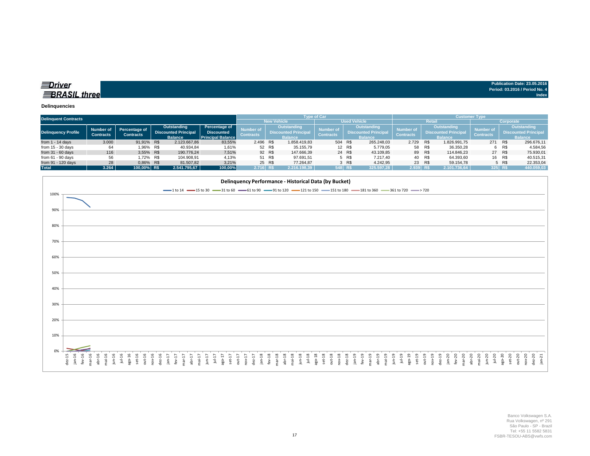| <u>abriver</u>      | Publication Date: 23.05.2016   |
|---------------------|--------------------------------|
|                     | Period: 03.2016 / Period No. 4 |
| <b>BRASIL three</b> | Index                          |

#### **Delinquencies**

| <b>Delinquent Contracts</b> |                  |                      |  |                             |                          |                  |                    |                             | <b>Type of Car</b>  |                    |                             |                  |                | Customer Type               |                  |         |                             |  |
|-----------------------------|------------------|----------------------|--|-----------------------------|--------------------------|------------------|--------------------|-----------------------------|---------------------|--------------------|-----------------------------|------------------|----------------|-----------------------------|------------------|---------|-----------------------------|--|
|                             |                  |                      |  |                             |                          |                  | <b>New Vehicle</b> |                             | <b>Used Vehicle</b> |                    | Retail                      | Corporate        |                |                             |                  |         |                             |  |
|                             | Number of        | <b>Percentage of</b> |  | Outstanding                 | Percentage of            | <b>Number of</b> | <b>Outstanding</b> |                             | <b>Number of</b>    | <b>Outstanding</b> |                             | Number o         | Outstanding    |                             | <b>Number of</b> |         | Outstanding                 |  |
| Delinquency Profile         | <b>Contracts</b> | <b>Contracts</b>     |  | <b>Discounted Principal</b> | <b>Discounted</b>        | <b>Contracts</b> |                    | <b>Discounted Principal</b> | <b>Contracts</b>    |                    | <b>Discounted Principal</b> | <b>Contracts</b> |                | <b>Discounted Principal</b> | <b>Contracts</b> |         | <b>Discounted Principal</b> |  |
|                             |                  |                      |  | <b>Balance</b>              | <b>Principal Balance</b> |                  |                    | <b>Balance</b>              |                     |                    | <b>Balance</b>              |                  | <b>Balance</b> |                             |                  |         | <b>Balance</b>              |  |
| from $1 - 14$ days          | 3.000            | 91.91% R\$           |  | 2.123.667.86                | 83,55%                   | 2.496 R\$        |                    | 1.858.419.83                | 504 R\$             |                    | 265.248,03                  | 2.729            | R\$            | 1.826.991.75                | 271              | R\$     | 296.676,11                  |  |
| from $15 - 30$ days         | 64               | 1.96% R\$            |  | 40.934.84                   | 1,61%                    |                  | 52 R\$             | 35.155.79                   |                     | 12 R\$             | 5.779.05                    |                  | 58 R\$         | 36.350,28                   |                  | 6 R\$   | 4.584.56                    |  |
| from $31 - 60$ days         | 116              | 3.55% R\$            |  | 190.776.24                  | 7,51%                    |                  | 92 R\$             | 147.666.39                  |                     | 24 R\$             | 43.109.85                   |                  | 89 R\$         | 114.846.23                  |                  | 27 R\$  | 75.930.01                   |  |
| from $61 - 90$ days         | 56               | 1.72% R\$            |  | 104.908.91                  | 4,13%                    |                  | 51 R\$             | 97.691.51                   |                     | 5 R\$              | 7.217.40                    |                  | 40 R\$         | 64.393,60                   |                  | 16 R\$  | 40.515,31                   |  |
| from 91 - 120 days          | 28               | 0.86% R\$            |  | 81.507.82                   | 3,21%                    |                  | 25 R\$             | 77.264.87                   |                     | 3 R\$              | 4.242.95                    |                  | 23 R\$         | 59.154.78                   |                  | 5 R\$   | 22.353.04                   |  |
| <b>Total</b>                | 3.264            | 100.00% R\$          |  | 2.541.795.67                | 100,00%                  | $2.716$ R\$      |                    | 2.216.198.39                | 548 R\$             |                    | 325.597.28                  | $2.939$ R\$      |                | 2.101.736,64                |                  | 325 R\$ | 440.059,03                  |  |

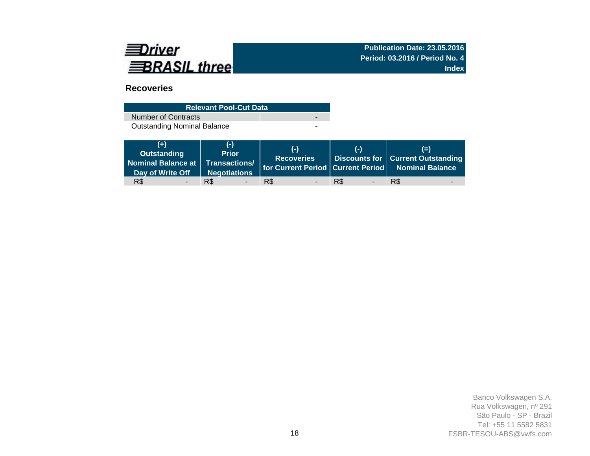

## **Recoveries**

| <b>Relevant Pool-Cut Data</b>      |  |
|------------------------------------|--|
| Number of Contracts                |  |
| <b>Outstanding Nominal Balance</b> |  |

| $(+)$<br>Outstanding<br>Nominal Balance at Transactions/<br>Day of Write Off | (-)<br><b>Prior</b><br>Negotiations | $(-)$<br><b>Recoveries</b>      | (-)                             | $(=)$<br>Discounts for   Current Outstanding<br>for Current Period Current Period Nominal Balance |
|------------------------------------------------------------------------------|-------------------------------------|---------------------------------|---------------------------------|---------------------------------------------------------------------------------------------------|
| R\$                                                                          | R\$                                 | R\$<br>$\overline{\phantom{0}}$ | R\$<br>$\overline{\phantom{a}}$ | R\$                                                                                               |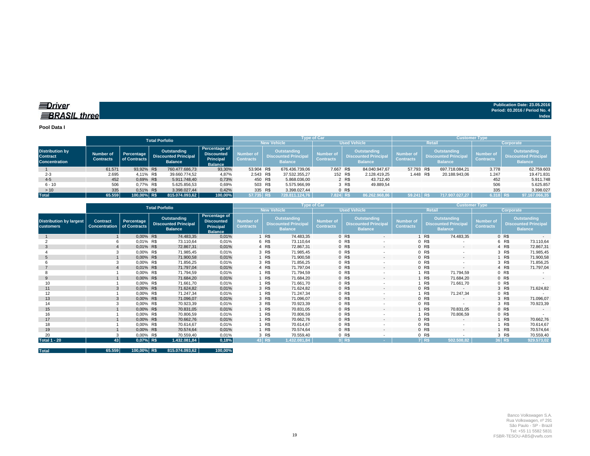**EDriver BRASIL** three

**Publication Date: 23.05.2016 Period: 03.2016 / Period No. 4 Index**

**Pool Data I**

|                                                                   |                               |                            | <b>Total Porfolio</b>                                        |                |                                                                   |                               |                                                                     | <b>Type of Car</b>                   |                |                                                                     | <b>Customer Type</b>                 |        |                                                                    |                                      |                                                                     |  |  |
|-------------------------------------------------------------------|-------------------------------|----------------------------|--------------------------------------------------------------|----------------|-------------------------------------------------------------------|-------------------------------|---------------------------------------------------------------------|--------------------------------------|----------------|---------------------------------------------------------------------|--------------------------------------|--------|--------------------------------------------------------------------|--------------------------------------|---------------------------------------------------------------------|--|--|
|                                                                   |                               |                            |                                                              |                |                                                                   |                               | <b>New Vehicle</b>                                                  |                                      |                | <b>Used Vehicle</b>                                                 |                                      | Retail |                                                                    | Corporate                            |                                                                     |  |  |
| <b>Distribution by</b><br><b>Contract</b><br><b>Concentration</b> | Number of<br><b>Contracts</b> | Percentage<br>of Contracts | Outstanding<br><b>Discounted Principal</b><br><b>Balance</b> |                | Percentage of<br><b>Discounted</b><br>Principal<br><b>Balance</b> | Number of<br><b>Contracts</b> | <b>Outstanding</b><br><b>Discounted Principal</b><br><b>Balance</b> | <b>Number of</b><br><b>Contracts</b> |                | <b>Outstanding</b><br><b>Discounted Principal</b><br><b>Balance</b> | <b>Number of</b><br><b>Contracts</b> |        | Outstanding<br>Discounted Principal <sup>1</sup><br><b>Balance</b> | <b>Number of</b><br><b>Contracts</b> | <b>Outstanding</b><br><b>Discounted Principal</b><br><b>Balance</b> |  |  |
|                                                                   | 61.571                        | 93.92% R\$                 |                                                              | 760.477.686.73 | 93,30%                                                            | 53.904 R\$                    | 676.436.739.06                                                      |                                      | 7.667 R\$      | 84.040.947.67                                                       | 57.793 R\$                           |        | 697.718.084.21                                                     | 3.778                                | 62.759.603                                                          |  |  |
| $2 - 3$                                                           | 2.695                         | 4.11% R\$                  |                                                              | 39.660.774.52  | 4,87%                                                             | 2.543 R\$                     | 37.532.355.27                                                       |                                      | 152 R\$        | 2.128.419.25                                                        | 1.448 R\$                            |        | 20.188.943.06                                                      | 1.247                                | 19.471.831                                                          |  |  |
| $4 - 5$                                                           | 452                           | 0.69% R\$                  |                                                              | 5.911.748.40   | 0,73%                                                             | 450 R\$                       | 5.868.036,00                                                        |                                      | 2 R\$          | 43.712.40                                                           |                                      |        |                                                                    | 452                                  | 5.911.748                                                           |  |  |
| $6 - 10$                                                          | 506                           | 0.77% R\$                  |                                                              | 5.625.856,53   | 0,69%                                                             | 503 R\$                       | 5.575.966,99                                                        |                                      | 3 R\$          | 49.889,54                                                           |                                      |        |                                                                    | 506                                  | 5.625.857                                                           |  |  |
| >10                                                               | 335                           | 0.51% R\$                  |                                                              | 3.398.027.44   | 0,42%                                                             | 335 R\$                       | 3.398.027,44                                                        |                                      | 0 <sub>R</sub> |                                                                     |                                      |        |                                                                    | 335                                  | 3.398.027                                                           |  |  |
| <b>Total</b>                                                      | 65.559                        | 100.00% R\$                |                                                              | 815.074.093.62 | 100,00%                                                           | 57.735 R\$                    | 728.811.124.76                                                      |                                      | 7.824 R\$      | 86.262.968.86                                                       | 59.24                                |        | 717.907.027.27                                                     | 6.318 R\$                            | 97.167.066,35                                                       |  |  |

|                                                    | <b>Total Porfolio</b>                   |                            |                                                              |                                                                   |                                      |                    |                                                                     | <b>Type of Car</b>                   |                                                              | <b>Customer Type</b>                 |       |                                                                     |                                      |           |                                                                     |  |
|----------------------------------------------------|-----------------------------------------|----------------------------|--------------------------------------------------------------|-------------------------------------------------------------------|--------------------------------------|--------------------|---------------------------------------------------------------------|--------------------------------------|--------------------------------------------------------------|--------------------------------------|-------|---------------------------------------------------------------------|--------------------------------------|-----------|---------------------------------------------------------------------|--|
|                                                    |                                         |                            |                                                              |                                                                   |                                      | <b>New Vehicle</b> |                                                                     |                                      | <b>Used Vehicle</b>                                          |                                      |       | <b>Retail</b>                                                       |                                      | Corporate |                                                                     |  |
| <b>Distribution by largest</b><br><b>customers</b> | <b>Contract</b><br><b>Concentration</b> | Percentage<br>of Contracts | Outstanding<br><b>Discounted Principal</b><br><b>Balance</b> | Percentage of<br><b>Discounted</b><br>Principal<br><b>Balance</b> | <b>Number of</b><br><b>Contracts</b> |                    | <b>Outstanding</b><br><b>Discounted Principal</b><br><b>Balance</b> | <b>Number of</b><br><b>Contracts</b> | Outstanding<br><b>Discounted Principal</b><br><b>Balance</b> | <b>Number of</b><br><b>Contracts</b> |       | <b>Outstanding</b><br><b>Discounted Principal</b><br><b>Balance</b> | <b>Number of</b><br><b>Contracts</b> |           | <b>Outstanding</b><br><b>Discounted Principal</b><br><b>Balance</b> |  |
|                                                    |                                         | 0,00% R\$                  | 74.483,35                                                    | 0,01%                                                             |                                      | 1 R\$              | 74.483,35                                                           |                                      | 0 R\$<br>$\sim$                                              |                                      | R\$   | 74.483,35                                                           |                                      | 0 R\$     |                                                                     |  |
|                                                    |                                         | 0,01% R\$                  | 73.110,64                                                    | 0,01%                                                             |                                      | 6 R\$              | 73.110,64                                                           |                                      | 0 R\$<br>$\overline{\phantom{a}}$                            |                                      | 0 R\$ |                                                                     |                                      | 6 R\$     | 73.110,64                                                           |  |
|                                                    |                                         | 0,01% R\$                  | 72.867,31                                                    | 0,01%                                                             |                                      | 4 R\$              | 72.867,31                                                           |                                      | 0 R\$<br>$\overline{\phantom{a}}$                            |                                      | 0 R\$ | $\sim$                                                              |                                      | 4 R\$     | 72.867,31                                                           |  |
|                                                    |                                         | 0,00% R\$                  | 71.985,45                                                    | 0,01%                                                             |                                      | 3 R\$              | 71.985,45                                                           |                                      | 0 R\$<br>٠                                                   |                                      | 0 R\$ |                                                                     |                                      | 3 R\$     | 71.985,45                                                           |  |
|                                                    |                                         | 0,00% R\$                  | 71.900,58                                                    | 0,01%                                                             |                                      | 1 R\$              | 71.900,58                                                           |                                      | 0 R\$<br>$\sim$                                              |                                      | 0 R\$ | $\sim$                                                              |                                      | R\$       | 71.900,58                                                           |  |
|                                                    |                                         | 0,00% R\$                  | 71.856,25                                                    | 0,01%                                                             |                                      | 3 R\$              | 71.856,25                                                           |                                      | 0 R\$                                                        |                                      | 0 R\$ |                                                                     |                                      | 3 R\$     | 71.856,25                                                           |  |
|                                                    |                                         | 0,01% R\$                  | 71.797,04                                                    | 0,01%                                                             |                                      | 4 R\$              | 71.797,04                                                           |                                      | 0 R\$<br>$\sim$                                              |                                      | 0 R\$ | $\sim$                                                              |                                      | 4 R\$     | 71.797,04                                                           |  |
|                                                    |                                         | 0,00% R\$                  | 71.794,59                                                    | 0,01%                                                             |                                      | 1 R\$              | 71.794,59                                                           |                                      | 0 R\$<br>$\overline{\phantom{a}}$                            |                                      | R\$   | 71.794,59                                                           |                                      | 0 R\$     |                                                                     |  |
| 9                                                  |                                         | 0,00% R\$                  | 71.684,20                                                    | 0,01%                                                             |                                      | 1 R\$              | 71.684,20                                                           |                                      | 0 R\$<br>٠                                                   |                                      | R\$   | 71.684,20                                                           |                                      | 0 R\$     | $\sim$                                                              |  |
| 10                                                 |                                         | 0,00% R\$                  | 71.661,70                                                    | 0,01%                                                             |                                      | 1 R\$              | 71.661,70                                                           |                                      | 0 R\$                                                        |                                      | R\$   | 71.661,70                                                           |                                      | 0 R\$     |                                                                     |  |
| 11                                                 | 3                                       | 0,00% R\$                  | 71.624,82                                                    | 0,01%                                                             |                                      | 3 R\$              | 71.624,82                                                           |                                      | 0 R\$<br>$\sim$                                              |                                      | 0 R\$ | $\sim$                                                              |                                      | 3 R\$     | 71.624,82                                                           |  |
| 12                                                 |                                         | 0,00% R\$                  | 71.247,34                                                    | 0,01%                                                             |                                      | 1 R\$              | 71.247,34                                                           |                                      | 0 R\$<br>$\overline{\phantom{a}}$                            |                                      | R\$   | 71.247,34                                                           |                                      | 0 R\$     |                                                                     |  |
| 13                                                 |                                         | 0,00% R\$                  | 71.096,07                                                    | 0,01%                                                             |                                      | 3 R\$              | 71.096,07                                                           |                                      | 0 R\$<br>٠                                                   |                                      | 0 R\$ | $\sim$                                                              |                                      | 3 R\$     | 71.096,07                                                           |  |
| 14                                                 |                                         | 0,00% R\$                  | 70.923,39                                                    | 0,01%                                                             |                                      | 3 R\$              | 70.923,39                                                           |                                      | 0 R\$                                                        |                                      | 0 R\$ |                                                                     |                                      | 3 R\$     | 70.923,39                                                           |  |
| 15                                                 |                                         | 0,00% R\$                  | 70.831,05                                                    | 0,01%                                                             |                                      | 1 R\$              | 70.831,05                                                           |                                      | 0 R\$<br>$\overline{\phantom{a}}$                            |                                      | R\$   | 70.831,05                                                           |                                      | 0 R\$     | $\sim$                                                              |  |
| 16                                                 |                                         | 0,00% R\$                  | 70.806,59                                                    | 0,01%                                                             |                                      | R\$                | 70.806,59                                                           |                                      | 0 R\$                                                        |                                      | R\$   | 70.806,59                                                           |                                      | 0 R\$     |                                                                     |  |
| 17                                                 |                                         | 0,00% R\$                  | 70.662,76                                                    | 0,01%                                                             |                                      | 1 R\$              | 70.662,76                                                           |                                      | 0 R\$<br>$\sim$                                              |                                      | 0 R\$ | $\sim$                                                              |                                      | R\$       | 70.662,76                                                           |  |
| 18                                                 |                                         | 0,00% R\$                  | 70.614,67                                                    | 0,01%                                                             |                                      | 1 R\$              | 70.614,67                                                           |                                      | 0 R\$                                                        |                                      | 0 R\$ |                                                                     |                                      | R\$       | 70.614,67                                                           |  |
| 19                                                 |                                         | 0,00% R\$                  | 70.574,64                                                    | 0,01%                                                             |                                      | 1 R\$              | 70.574.64                                                           |                                      | 0 R\$<br>$\sim$                                              |                                      | 0 R\$ | $\sim$                                                              |                                      | R\$       | 70.574,64                                                           |  |
| 20                                                 |                                         | 0,00% R\$                  | 70.559,40                                                    | 0,01%                                                             |                                      | 3 R\$              | 70.559,40                                                           |                                      | 0 R\$<br>٠                                                   |                                      | 0 R\$ |                                                                     |                                      | 3 R\$     | 70.559,40                                                           |  |
| <b>Total 1 - 20</b>                                | 43 <sup>1</sup>                         | 0,07% R\$                  | 1.432.081,84                                                 | 0,18%                                                             |                                      | 43 R\$             | 1.432.081,84                                                        |                                      | 0 RS                                                         |                                      | 7 R\$ | 502.508,82                                                          |                                      | 36 R\$    | 929.573,02                                                          |  |

|              | 65.559 | 100,00% R\$ | 815.074.093,62 |         |
|--------------|--------|-------------|----------------|---------|
| <b>Total</b> |        |             |                | 100,00% |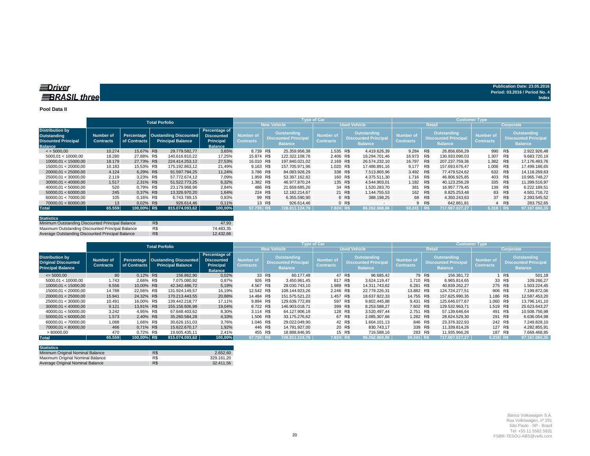#### **Pool Data II**

|                                                                                       |                               |              | <b>Total Porfolio</b> |                                                                |                                                                   |                                      |        |                                                                     | Type of Car                          |         |                                                              | <b>Customer Type</b>                 |        |                                                                     |                                      |           |                                                              |  |
|---------------------------------------------------------------------------------------|-------------------------------|--------------|-----------------------|----------------------------------------------------------------|-------------------------------------------------------------------|--------------------------------------|--------|---------------------------------------------------------------------|--------------------------------------|---------|--------------------------------------------------------------|--------------------------------------|--------|---------------------------------------------------------------------|--------------------------------------|-----------|--------------------------------------------------------------|--|
|                                                                                       |                               |              |                       |                                                                |                                                                   |                                      |        | <b>New Vehicle</b>                                                  |                                      |         | <b>Used Vehicle</b>                                          |                                      | Retail |                                                                     |                                      | Corporate |                                                              |  |
| <b>Distribution by</b><br>Outstanding<br><b>Disounted Principal</b><br><b>Balance</b> | Number of<br><b>Contracts</b> | of Contracts |                       | Percentage   Oustanding Discounted<br><b>Principal Balance</b> | Percentage of<br><b>Discounted</b><br>Principal<br><b>Balance</b> | <b>Number of</b><br><b>Contracts</b> |        | <b>Outstanding</b><br><b>Discounted Principal</b><br><b>Balance</b> | <b>Number of</b><br><b>Contracts</b> |         | Outstanding<br><b>Discounted Principal</b><br><b>Balance</b> | <b>Number of</b><br><b>Contracts</b> |        | <b>Outstanding</b><br><b>Discounted Principal</b><br><b>Balance</b> | <b>Number of</b><br><b>Contracts</b> |           | Outstanding<br><b>Discounted Principal</b><br><b>Balance</b> |  |
| $\le$ = 5000.00                                                                       | 10.274                        | 15.67% R\$   |                       | 29.779.582.77                                                  | 3,65%                                                             | 8.739 R\$                            |        | 25.359.956.38                                                       | 1.535 R\$                            |         | 4.419.626.39                                                 | 9.284 R\$                            |        | 26.856.656.29                                                       | 990                                  | R\$       | 2.922.926.48                                                 |  |
| 5000.01 < 10000.00                                                                    | 18.280                        | 27.88% R\$   |                       | 140.616.810.22                                                 | 17,25%                                                            | 15.874 R\$                           |        | 122.322.108.76                                                      | 2.406 R\$                            |         | 18.294.701.46                                                | 16.973                               | R\$    | 130.933.090.03                                                      | 1.307                                | R\$       | 9.683.720,19                                                 |  |
| 10000.01 < 15000.00                                                                   | 18.179                        | 27.73% R\$   |                       | 224.414.253.12                                                 | 27,53%                                                            | 16.010 R\$                           |        | 197.840.021.02                                                      | 2.169 R\$                            |         | 26.574.232.10                                                | 16.797                               | R\$    | 207.237.759.36                                                      | 1.382                                | R\$       | 17.176.493.76                                                |  |
| 15000.01 < 20000.00                                                                   | 10.183                        | 15.53% R\$   |                       | 175.192.863.12                                                 | 21,49%                                                            | 9.163 R\$                            |        | 157.705.971.96                                                      | 1.020 R\$                            |         | 17.486.891.16                                                | 9.177                                | R\$    | 157.693.676.47                                                      | 1.006                                | R\$       | 17.499.186.65                                                |  |
| 20000.01 < 25000.00                                                                   | 4.124                         | 6.29% R\$    |                       | 91.597.794.25                                                  | 11.24%                                                            | 3.786 R\$                            |        | 84.083.928.29                                                       |                                      | 338 R\$ | 7.513.865.96                                                 | 3.492 R\$                            |        | 77.479.524.62                                                       | 632 R\$                              |           | 14.118.269.63                                                |  |
| 25000.01 < 30000.00                                                                   | 2.119                         | 3.23% R\$    |                       | 57.772.674.12                                                  | 7,09%                                                             | 1.959 R\$                            |        | 53.397.162.82                                                       |                                      | 160 R\$ | 4.375.511.30                                                 | 1.716 R\$                            |        | 46.806.925.85                                                       | 403                                  | R\$       | 10.965.748.27                                                |  |
| 30000.01 < 40000.00                                                                   | 1.517                         | 2.31% R\$    |                       | 51.522.773.25                                                  | 6.32%                                                             | 1.382 R\$                            |        | 46.977.870.24                                                       |                                      | 135 R\$ | 4.544.903.01                                                 | 1.182 R\$                            |        | 40.123.256.28                                                       | 335                                  | R\$       | 11.399.516.97                                                |  |
| 40000.01 < 50000.00                                                                   | 520                           | 0.79% R\$    |                       | 23.179.968.96                                                  | 2,84%                                                             | 486 R\$                              |        | 21.659.685.26                                                       |                                      | 34 R\$  | 1.520.283.70                                                 | 381 R\$                              |        | 16.957.779.45                                                       | 139                                  | R\$       | 6.222.189.51                                                 |  |
| 50000.01 < 60000.00                                                                   | 245                           | 0.37% R\$    |                       | 13.326.970.20                                                  | 1,64%                                                             | 224 R\$                              |        | 12.182.214.67                                                       |                                      | 21 R\$  | 1.144.755.53                                                 | 162 R\$                              |        | 8.825.253.48                                                        |                                      | 83 R\$    | 4.501.716,72                                                 |  |
| 60000.01 < 70000.00                                                                   | 105                           | 0.16% R\$    |                       | 6.743.789.15                                                   | 0,83%                                                             |                                      | 99 R\$ | 6.355.590.90                                                        |                                      | 6 R\$   | 388.198.25                                                   | 68 R\$                               |        | 4.350.243.63                                                        |                                      | 37 R\$    | 2.393.545,52                                                 |  |
| 70000,01 < 80000,00                                                                   | 13                            | 0.02% R\$    |                       | 926.614,46                                                     | 0,11%                                                             |                                      | 13 R\$ | 926.614.46                                                          |                                      | 0 R     | $\sim$                                                       |                                      | 9 R\$  | 642.861.81                                                          |                                      | 4 R\$     | 283.752,65                                                   |  |
| <b>Total</b>                                                                          | 65.559                        | 100.00% R\$  |                       | 815.074.093.62                                                 | 100.00%                                                           | 57.735 R\$                           |        | 728.811.124.76                                                      | 7.824 R\$                            |         | 86.262.968.86                                                | 59.24'                               |        | 717.907.027.27                                                      | 6.318 R\$                            |           | 97.167.066.35                                                |  |

| <b>Statistics</b>                                |     |           |
|--------------------------------------------------|-----|-----------|
| Minimum Outstanding Discounted Principal Balance | R\$ | 47.93     |
| Maximum Outstanding Discounted Principal Balance | R\$ | 74.483.35 |
| Average Outstanding Discounted Principal Balance | R\$ | 12.432.68 |

|                                                                                  |                               | <b>Total Porfolio</b> |  |                                                                |                                                                   |                                      | <b>Type of Car</b> |                                                                     |                                      | Customer Type, |                                                              |                                      |        |                                                              |                                      |           |                                                                     |
|----------------------------------------------------------------------------------|-------------------------------|-----------------------|--|----------------------------------------------------------------|-------------------------------------------------------------------|--------------------------------------|--------------------|---------------------------------------------------------------------|--------------------------------------|----------------|--------------------------------------------------------------|--------------------------------------|--------|--------------------------------------------------------------|--------------------------------------|-----------|---------------------------------------------------------------------|
|                                                                                  |                               |                       |  |                                                                |                                                                   |                                      |                    | <b>New Vehicle</b>                                                  |                                      |                | <b>Used Vehicle</b>                                          |                                      |        | Retail                                                       |                                      | Corporate |                                                                     |
| <b>Distribution by</b><br><b>Original Discounted</b><br><b>Principal Balance</b> | Number of<br><b>Contracts</b> | of Contracts          |  | Percentage   Oustanding Discounted<br><b>Principal Balance</b> | Percentage of<br><b>Discounted</b><br>Principal<br><b>Balance</b> | <b>Number of</b><br><b>Contracts</b> |                    | <b>Outstanding</b><br><b>Discounted Principal</b><br><b>Balance</b> | <b>Number of</b><br><b>Contracts</b> |                | Outstanding<br><b>Discounted Principal</b><br><b>Balance</b> | <b>Number of</b><br><b>Contracts</b> |        | Outstanding<br><b>Discounted Principal</b><br><b>Balance</b> | <b>Number of</b><br><b>Contracts</b> |           | <b>Outstanding</b><br><b>Discounted Principal</b><br><b>Balance</b> |
| $\leq 5000,00$                                                                   | 80                            | 0,12% R\$             |  | 156.862,90                                                     | 0,02%                                                             |                                      | 33 R\$             | 60.177.48                                                           | 47 R\$                               |                | 96.685,42                                                    |                                      | 79 R\$ | 156.361,72                                                   |                                      | 1 R\$     | 501,18                                                              |
| 5000.01 < 10000.00                                                               | 1.743                         | 2,66% R\$             |  | 7.075.080,92                                                   | 0,87%                                                             | 926 R\$                              |                    | 3.450.961,45                                                        | 817 R\$                              |                | 3.624.119.47                                                 | 1.710 R\$                            |        | 6.965.814.65                                                 |                                      | 33 R\$    | 109.266,27                                                          |
| 10000.01 < 15000.00                                                              | 6.556                         | 10,00% R\$            |  | 42.342.486,72                                                  | 5,19%                                                             | 4.567 R\$                            |                    | 28.030.743.10                                                       | 1.989 R\$                            |                | 14.311.743.62                                                | 6.281 R\$                            |        | 40.839.262.27                                                | 275 R\$                              |           | 1.503.224,45                                                        |
| 15000.01 < 20000.00                                                              | 14.788                        | 22.56% R\$            |  | 131.924.149.57                                                 | 16,19%                                                            | 12.542 R\$                           |                    | 109.144.923.26                                                      | 2.246 R\$                            |                | 22.779.226.31                                                | 13.882 R\$                           |        | 124.724.277.51                                               | 906 R\$                              |           | 7.199.872.06                                                        |
| 20000.01 < 25000.00                                                              | 15.941                        | 24.32% R\$            |  | 170.213.443,55                                                 | 20,88%                                                            | 14.484 R\$                           |                    | 151.575.521.22                                                      | 1.457 R\$                            |                | 18.637.922.33                                                | 14.755 R\$                           |        | 157.625.990.35                                               | 1.186 R\$                            |           | 12.587.453.20                                                       |
| 25000.01 < 30000.00                                                              | 10.491                        | 16.00% R\$            |  | 139.442.218.77                                                 | 17.11%                                                            | 9.894 R\$                            |                    | 129.639.772.89                                                      | 597 R\$                              |                | 9.802.445.88                                                 | 9.431 R\$                            |        | 125.646.077.67                                               | 1.060 R\$                            |           | 13.796.141,10                                                       |
| 30000.01 < 40000.00                                                              | 9.121                         | 13,91% R\$            |  | 155.156.606,98                                                 | 19,04%                                                            | 8.722 R\$                            |                    | 146.903.018.71                                                      | 399 R\$                              |                | 8.253.588.27                                                 | 7.602 R\$                            |        | 129.532.963,71                                               | 1.519 R\$                            |           | 25.623.643,27                                                       |
| 40000.01 < 50000.00                                                              | 3.242                         | 4.95% R\$             |  | 67.648.403.62                                                  | 8,30%                                                             | 3.114 R\$                            |                    | 64.127.906.18                                                       | 128 R\$                              |                | 3.520.497.44                                                 | 2.751 R\$                            |        | 57.139.646.64                                                | 491 R\$                              |           | 10.508.756.98                                                       |
| 50000.01 < 60000.00                                                              | 1.573                         | 2.40% R\$             |  | 35.260.584.28                                                  | 4,33%                                                             | 1.506 R\$                            |                    | 33.175.276.62                                                       |                                      | 67 R\$         | 2.085.307.66                                                 | 1.282 R\$                            |        | 28.624.529.30                                                | 291 R\$                              |           | 6.636.054,98                                                        |
| 60000.01 < 70000.00                                                              | 1.088                         | 1.66% R\$             |  | 30.626.151.03                                                  | 3,76%                                                             | 1.046 R\$                            |                    | 29.022.049.90                                                       |                                      | 42 R\$         | 1.604.101.13                                                 | 846 R\$                              |        | 23.376.322.93                                                | 242 R\$                              |           | 7.249.828,10                                                        |
| 70000.01 < 80000.00                                                              | 466                           | 0.71% R\$             |  | 15.622.670.17                                                  | 1.92%                                                             | 446 R\$                              |                    | 14.791.927.00                                                       |                                      | 20 R\$         | 830.743.17                                                   | 339 R\$                              |        | 11.339.814.26                                                | 127 R\$                              |           | 4.282.855.91                                                        |
| >80000,00                                                                        | 470                           | 0.72% R\$             |  | 19.605.435,11                                                  | 2,41%                                                             | 455 R\$                              |                    | 18.888.846.95                                                       |                                      | 15 R\$         | 716.588,16                                                   | 283 R\$                              |        | 11.935.966.26                                                | 187 R\$                              |           | 7.669.468,85                                                        |
| <b>Total</b>                                                                     | 65.559                        | 100.00% R\$           |  | 815.074.093.62                                                 | 100,00%                                                           | 57.735 R\$                           |                    | 728.811.124.76                                                      | 7.824 RS                             |                | 86.262.968.86                                                | 59.241 RS                            |        | 717.907.027.27                                               | 6.318 RS                             |           | 97.167.066.35                                                       |

| <b>Statistics</b>                |     |            |
|----------------------------------|-----|------------|
| Minimum Original Nominal Balance | R\$ | 2.652.60   |
| Maximum Original Nominal Balance | R\$ | 329.161.20 |
| Average Original Nominal Balance | R\$ | 32.411.56  |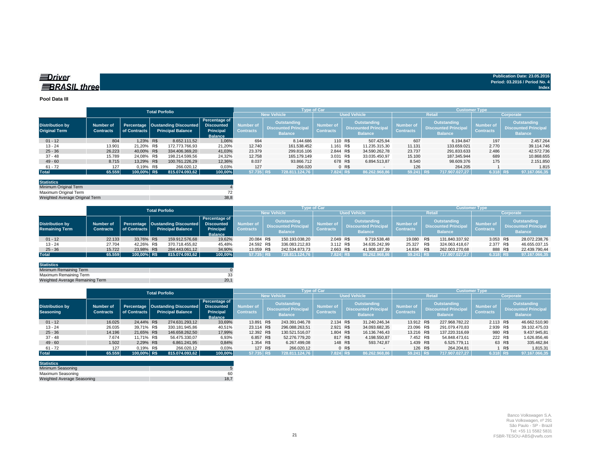| <b>EDriver</b>      | Publication Date: 23.05.2016   |
|---------------------|--------------------------------|
|                     | Period: 03.2016 / Period No. 4 |
| <b>BRASIL three</b> | Index                          |
|                     |                                |

#### **Pool Data III**

|                                                |                                      |              | <b>Total Porfolio</b>                                                       |                                                     |                               |                                                                     | <b>Type of Car</b>                   |                     |                                                              | <b>Customer Type</b>                 |                                                              |                                      |                                                              |  |  |  |
|------------------------------------------------|--------------------------------------|--------------|-----------------------------------------------------------------------------|-----------------------------------------------------|-------------------------------|---------------------------------------------------------------------|--------------------------------------|---------------------|--------------------------------------------------------------|--------------------------------------|--------------------------------------------------------------|--------------------------------------|--------------------------------------------------------------|--|--|--|
|                                                |                                      |              |                                                                             |                                                     |                               | <b>New Vehicle</b>                                                  |                                      | <b>Used Vehicle</b> |                                                              |                                      | Retai                                                        | Corporate                            |                                                              |  |  |  |
| <b>Distribution by</b><br><b>Original Term</b> | <b>Number of</b><br><b>Contracts</b> | of Contracts | Percentage   Oustanding Discounted   Discounted<br><b>Principal Balance</b> | Percentage of<br><b>Principal</b><br><b>Balance</b> | Number of<br><b>Contracts</b> | <b>Outstanding</b><br><b>Discounted Principal</b><br><b>Balance</b> | <b>Number of</b><br><b>Contracts</b> |                     | Outstanding<br><b>Discounted Principal</b><br><b>Balance</b> | <b>Number of</b><br><b>Contracts</b> | Outstanding<br><b>Discounted Principal</b><br><b>Balance</b> | <b>Number of</b><br><b>Contracts</b> | Outstanding<br><b>Discounted Principal</b><br><b>Balance</b> |  |  |  |
| $01 - 12$                                      | 804                                  | 1.23% R\$    | 8.652.111.52                                                                | 1.06%                                               | 694                           | 8.144.686                                                           | 110 R\$                              |                     | 507.425.94                                                   | 607                                  | 6.194.847                                                    | 197                                  | 2.457.264                                                    |  |  |  |
| $13 - 24$                                      | 13.901                               | 21,20% R\$   | 172.773.766.93                                                              | 21,20%                                              | 12.740                        | 161.538.452                                                         | 1.161 R\$                            |                     | 11.235.315.30                                                | 11.131                               | 133.659.021                                                  | 2.770                                | 39.114.746                                                   |  |  |  |
| $25 - 36$                                      | 26.223                               | 40,00% R\$   | 334.406.369.20                                                              | 41,03%                                              | 23.379                        | 299.816.106                                                         | 2.844 R\$                            |                     | 34.590.262.78                                                | 23.737                               | 291.833.633                                                  | 2.486                                | 42.572.736                                                   |  |  |  |
| $37 - 48$                                      | 15.789                               | 24.08% R\$   | 198.214.599,56                                                              | 24.32%                                              | 12.758                        | 165,179,149                                                         | 3.031 R\$                            |                     | 33.035.450.97                                                | 15.100                               | 187.345.944                                                  | 689                                  | 10.868.655                                                   |  |  |  |
| $49 - 60$                                      | 8.715                                | 13.29% R\$   | 100.761.226.29                                                              | 12,36%                                              | 8.037                         | 93.866.712                                                          | 678 R\$                              |                     | 6.894.513.87                                                 | 8.540                                | 98.609.376                                                   | 175                                  | 2.151.850                                                    |  |  |  |
| $61 - 72$                                      | 127                                  | 0.19% R\$    | 266.020.12                                                                  | 0,03%                                               | 127                           | 266,020                                                             |                                      | 0 R\$               | $\sim$                                                       | 126                                  | 264.205                                                      |                                      | 1.815                                                        |  |  |  |
| <b>Total</b>                                   | 65.559                               | 100,00% R\$  | 815.074.093,62                                                              | 100.00%                                             | 57.735 R\$                    | 728.811.124.76                                                      | 7.824 R\$                            |                     | 86.262.968.86                                                | 59.241 R\$                           | 717.907.027.27                                               | 6.318 R\$                            | 97.167.066,35                                                |  |  |  |

| <b>Statistics</b>              |      |
|--------------------------------|------|
| Minimum Original Term          |      |
| Maximum Original Term          |      |
| Weighted Average Original Term | 38.8 |

|                                                 |                                      |              | <b>Total Porfolio</b> |                                                                |                                                                          |                               |                                                                     | <b>Type of Car</b>            |                                                                     | <b>Customer Type</b>                   |  |                                                                     |                               |                                                                     |  |  |
|-------------------------------------------------|--------------------------------------|--------------|-----------------------|----------------------------------------------------------------|--------------------------------------------------------------------------|-------------------------------|---------------------------------------------------------------------|-------------------------------|---------------------------------------------------------------------|----------------------------------------|--|---------------------------------------------------------------------|-------------------------------|---------------------------------------------------------------------|--|--|
|                                                 |                                      |              |                       |                                                                |                                                                          |                               | New Vehicle                                                         |                               | <b>Used Vehicle</b>                                                 |                                        |  | Retail                                                              | <b>Corporate</b>              |                                                                     |  |  |
| <b>Distribution by</b><br><b>Remaining Term</b> | <b>Number of</b><br><b>Contracts</b> | of Contracts |                       | Percentage   Oustanding Discounted<br><b>Principal Balance</b> | Percentage of<br><b>Discounted</b><br><b>Principal</b><br><b>Balance</b> | Number of<br><b>Contracts</b> | <b>Outstanding</b><br><b>Discounted Principal</b><br><b>Balance</b> | Number of<br><b>Contracts</b> | <b>Outstanding</b><br><b>Discounted Principal</b><br><b>Balance</b> | Number of <b>'</b><br><b>Contracts</b> |  | <b>Outstanding</b><br><b>Discounted Principal</b><br><b>Balance</b> | Number of<br><b>Contracts</b> | <b>Outstanding</b><br><b>Discounted Principal</b><br><b>Balance</b> |  |  |
| $01 - 12$                                       | 22.133                               | 33.76% R\$   |                       | 159.912.576,68                                                 | 19,62%                                                                   | 20.084 R\$                    | 150.193.038,20                                                      | 2.049 R\$                     | 9.719.538,48                                                        | 19.080 R\$                             |  | 131.840.337,92                                                      | 3.053 R\$                     | 28.072.238,76                                                       |  |  |
| $13 - 24$                                       | 27.704                               | 42.26% R\$   |                       | 370.718.455.82                                                 | 45.48%                                                                   | 24.592 R\$                    | 336.083.212.83                                                      | 3.112 R\$                     | 34.635.242.99                                                       | 25.327 R\$                             |  | 324.063.418.67                                                      | 2.377 R\$                     | 46.655.037,15                                                       |  |  |
| $25 - 36$                                       | 15.722                               | 23.98% R\$   |                       | 284.443.061.12                                                 | 34,90%                                                                   | 13.059 R\$                    | 242.534.873.73                                                      | 2.663 R\$                     | 41.908.187,39                                                       | 14.834 R\$                             |  | 262.003.270.68                                                      | 888 R\$                       | 22.439.790,44                                                       |  |  |
| <b>Total</b>                                    | 65.559                               | 100,00% R\$  |                       | 815.074.093.62                                                 | 100.00%                                                                  | 57.735 R\$                    | 728.811.124.76                                                      | $7.824$ R\$                   | 86.262.968,86                                                       | 59.241 R\$                             |  | 717.907.027.27                                                      | 6.318 RS                      | 97.167.066,35                                                       |  |  |

| <b>Statistics</b>               |      |
|---------------------------------|------|
| Minimum Remaining Term          |      |
| Maximum Remaining Term          |      |
| Weighted Average Remaining Term | 20.1 |

|                                     |                                      | <b>Total Porfolio</b> |  | <b>Type of Car</b>                                               |                                                                   |                               |                                                              |                |                                      |                | <b>Customer Type</b>                                                |                                      |                                                              |                |                                      |        |                                                              |
|-------------------------------------|--------------------------------------|-----------------------|--|------------------------------------------------------------------|-------------------------------------------------------------------|-------------------------------|--------------------------------------------------------------|----------------|--------------------------------------|----------------|---------------------------------------------------------------------|--------------------------------------|--------------------------------------------------------------|----------------|--------------------------------------|--------|--------------------------------------------------------------|
|                                     |                                      |                       |  |                                                                  | <b>New Vehicle</b>                                                | <b>Used Vehicle</b>           |                                                              |                |                                      | Retai          | Corporate                                                           |                                      |                                                              |                |                                      |        |                                                              |
| <b>Distribution by</b><br>Seasoning | <b>Number of</b><br><b>Contracts</b> | of Contracts          |  | Percentage   Oustanding Discounted  <br><b>Principal Balance</b> | Percentage of<br><b>Discounted</b><br>Principal<br><b>Balance</b> | Number of<br><b>Contracts</b> | Outstanding<br><b>Discounted Principal</b><br><b>Balance</b> |                | <b>Number of</b><br><b>Contracts</b> |                | <b>Outstanding</b><br><b>Discounted Principal</b><br><b>Balance</b> | <b>Number of</b><br><b>Contracts</b> | Outstanding<br><b>Discounted Principal</b><br><b>Balance</b> |                | <b>Number of</b><br><b>Contracts</b> |        | <b>Outstanding</b><br>Discounted Principal<br><b>Balance</b> |
| $01 - 12$                           | 16.025                               | 24.44% R\$            |  | 274.631.293.12                                                   | 33.69%                                                            | 13.891 R\$                    |                                                              | 243.391.046.78 | 2.134 R\$                            |                | 31.240.246.34                                                       | 13.912 R\$                           |                                                              | 227.968.782.22 | 2.113 R\$                            |        | 46.662.510,90                                                |
| $13 - 24$                           | 26.035                               | 39.71% R\$            |  | 330.181.945.86                                                   | 40,51%                                                            | 23.114 R\$                    |                                                              | 296.088.263.51 | 2.921 R\$                            |                | 34.093.682.35                                                       | 23.096 R\$                           |                                                              | 291.079.470.83 | 2.939 R\$                            |        | 39.102.475,03                                                |
| $25 - 36$                           | 14.196                               | 21,65% R\$            |  | 146.658.262,50                                                   | 17,99%                                                            | 12.392 R\$                    |                                                              | 130.521.516.07 | 1.804 R\$                            |                | 16.136.746,43                                                       | 13.216 R\$                           |                                                              | 137.220.316,69 | 980 R\$                              |        | 9.437.945,81                                                 |
| $37 - 48$                           | 7.674                                | 11.71% R\$            |  | 56.475.330.07                                                    | 6,93%                                                             | 6.857 R\$                     |                                                              | 52.276.779.20  | 817 R\$                              |                | 4.198.550,87                                                        | 7.452 R\$                            |                                                              | 54.848.473.61  | 222 R\$                              |        | 1.626.856,46                                                 |
| $49 - 60$                           | 1.502                                | 2.29% R\$             |  | 6.861.241.95                                                     | 0,84%                                                             | 1.354 R\$                     |                                                              | 6.267.499.08   | 148 R\$                              |                | 593.742.87                                                          | 1.439 R\$                            |                                                              | 6.525.779.11   |                                      | 63 R\$ | 335.462,84                                                   |
| $61 - 72$                           | 127                                  | 0.19% R\$             |  | 266.020,12                                                       | 0,03%                                                             | 127 R\$                       |                                                              | 266.020,12     |                                      | 0 <sub>R</sub> | $\overline{\phantom{a}}$                                            | 126 R\$                              |                                                              | 264.204.81     |                                      | 1 R\$  | 1.815,31                                                     |
| <b>Total</b>                        | 65.559                               | 100.00% R\$           |  | 815.074.093.62                                                   | 100.00%                                                           | 57.735 R\$                    |                                                              | 728.811.124.76 | 7.824 R\$                            |                | 86.262.968.86                                                       | 59.241 R\$                           |                                                              | 717.907.027.27 | 6.318 R\$                            |        | 97.167.066,35                                                |

| <b>Statistics</b>          |      |
|----------------------------|------|
| Minimum Seasoning          |      |
| Maximum Seasoning          | 60   |
| Weighted Average Seasoning | 18.7 |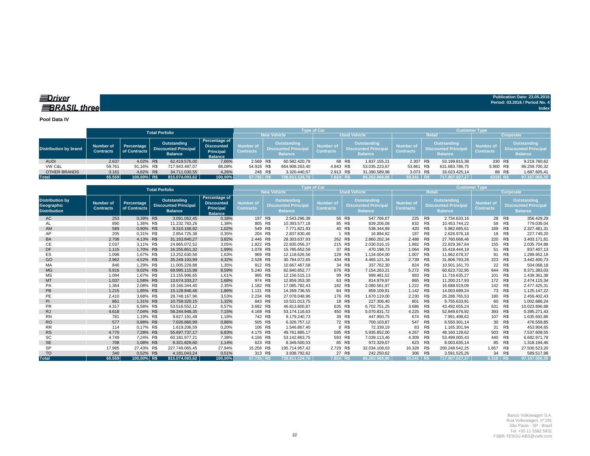*<u>IDriver</u>* **BRASIL** three

**Pool Data IV**

|                       |                                      |                            | <b>Total Porfolio</b>                                        |                                                                          |                               |                                                                     | <b>Type of Car</b>            |                                                                     | <b>Customer Type</b>                 |                                                                     |                |                                      |                                                                    |  |
|-----------------------|--------------------------------------|----------------------------|--------------------------------------------------------------|--------------------------------------------------------------------------|-------------------------------|---------------------------------------------------------------------|-------------------------------|---------------------------------------------------------------------|--------------------------------------|---------------------------------------------------------------------|----------------|--------------------------------------|--------------------------------------------------------------------|--|
|                       |                                      |                            |                                                              |                                                                          |                               | New Vehicle                                                         |                               | <b>Used Vehicle</b>                                                 |                                      |                                                                     | Retail         | Corporate                            |                                                                    |  |
| Distribution by brand | <b>Number of</b><br><b>Contracts</b> | Percentage<br>of Contracts | Outstanding<br><b>Discounted Principal</b><br><b>Balance</b> | Percentage of<br><b>Discounted</b><br><b>Principal</b><br><b>Balance</b> | Number of<br><b>Contracts</b> | <b>Outstanding</b><br><b>Discounted Principal</b><br><b>Balance</b> | Number of<br><b>Contracts</b> | <b>Outstanding</b><br><b>Discounted Principal</b><br><b>Balance</b> | <b>Number</b> of<br><b>Contracts</b> | <b>Outstanding</b><br><b>Discounted Principal</b><br><b>Balance</b> |                | <b>Number</b> of<br><b>Contracts</b> | <b>Outstanding</b><br><b>Discounted Principa</b><br><b>Balance</b> |  |
| <b>AUDI</b>           | 2.637                                | 4.02% R\$                  | 62.419.576.00                                                | 7,66%                                                                    | 2.569 R\$                     | 60.582.420.79                                                       |                               | 68 R\$<br>1.837.155.21                                              | 2.307 R\$                            |                                                                     | 53.199.815.38  | 330 R\$                              | 9.219.760,62                                                       |  |
| VW C&L                | 59.761                               | 91.16% R\$                 | 717.943.487.07                                               | 88.08%                                                                   | 54.918 R\$                    | 664.908.263.40                                                      | 4.843 R\$                     | 53.035.223.67                                                       | 53.861 R\$                           |                                                                     | 631.683.786.75 | 5.900 R\$                            | 86.259.700,32                                                      |  |
| OTHER BRANDS          | 3.161                                | 4.82% R\$                  | 34.711.030,55                                                | 4,26%                                                                    | 248 R\$                       | 3.320.440.57                                                        | 2.913 R\$                     | 31.390.589,98                                                       | 3.073 R\$                            |                                                                     | 33.023.425.14  |                                      | 88 R\$<br>1.687.605,41                                             |  |
| <b>Total</b>          | 65.559                               | 100,00% R\$                | 815.074.093.62                                               | 100.00%                                                                  | 57.735 RS                     | 728.811.124.76                                                      | 7.824 RS                      | 86.262.968.86                                                       | 59.241 R\$                           |                                                                     | 717.907.027.27 | 6318 RS                              | 97.167.066,35                                                      |  |

|                                                                    |                                      |                            | <b>Total Porfolio</b>                                        |                                                                          | <b>Type of Car</b>            |                    |                                                                    |                               |                                                                     |                     |                                      | <b>Customer Type</b>                                                |                |                        |     |                                                                     |  |
|--------------------------------------------------------------------|--------------------------------------|----------------------------|--------------------------------------------------------------|--------------------------------------------------------------------------|-------------------------------|--------------------|--------------------------------------------------------------------|-------------------------------|---------------------------------------------------------------------|---------------------|--------------------------------------|---------------------------------------------------------------------|----------------|------------------------|-----|---------------------------------------------------------------------|--|
|                                                                    |                                      |                            |                                                              |                                                                          |                               | <b>New Vehicle</b> |                                                                    |                               |                                                                     | <b>Used Vehicle</b> |                                      | <b>Retail</b>                                                       | Corporate      |                        |     |                                                                     |  |
| <b>Distribution by</b><br><b>Geographic</b><br><b>Distribution</b> | <b>Number of</b><br><b>Contracts</b> | Percentage<br>of Contracts | Outstanding<br><b>Discounted Principal</b><br><b>Balance</b> | Percentage of<br><b>Discounted</b><br><b>Principal</b><br><b>Balance</b> | Number of<br><b>Contracts</b> |                    | <b>Outstanding</b><br><b>Discounted Principa</b><br><b>Balance</b> | Number of<br><b>Contracts</b> | <b>Outstanding</b><br><b>Discounted Principal</b><br><b>Balance</b> |                     | <b>Number of</b><br><b>Contracts</b> | <b>Outstanding</b><br><b>Discounted Principal</b><br><b>Balance</b> |                | Number of<br>Contracts |     | <b>Outstanding</b><br><b>Discounted Principal</b><br><b>Balance</b> |  |
| AC                                                                 | 253                                  | 0.39% R\$                  | 3.091.062,45                                                 | 0,38%                                                                    | 197 R\$                       |                    | 2.543.296,38                                                       |                               | 56 R\$                                                              | 547.766,07          | 225 R\$                              |                                                                     | 2.734.633.16   | 28                     | R\$ | 356.429,29                                                          |  |
| AL                                                                 | 890                                  | 1.36% R\$                  | 11.232.783.26                                                | 1,38%                                                                    | 805 R\$                       |                    | 10.393.577.18                                                      |                               | 85 R\$                                                              | 839,206.08          | 832                                  | R\$                                                                 | 10.453.744.22  | 58                     | R\$ | 779.039,04                                                          |  |
| AM                                                                 | 589                                  | 0.90% R\$                  | 8.310.166.92                                                 | 1,02%                                                                    | 549 R\$                       |                    | 7.771.821.93                                                       |                               | 40 R\$                                                              | 538.344.99          | 420 R\$                              |                                                                     | 5.982.685.61   | 169                    | R\$ | 2.327.481.31                                                        |  |
| AP                                                                 | 205                                  | 0,31% R\$                  | 2.854.725.38                                                 | 0,35%                                                                    | 204 R\$                       |                    | 2.837.830,46                                                       |                               | R\$                                                                 | 16.894,92           | 187                                  | R\$                                                                 | 2.626.976,18   | 18                     | R\$ | 227.749,20                                                          |  |
| <b>BA</b>                                                          | 2.708                                | 4.13% R\$                  | 31.163.840,27                                                | 3,82%                                                                    | 2.446 R\$                     |                    | 28.303.637.93                                                      |                               | 262 R\$                                                             | 2.860.202.34        | 2.488 R\$                            |                                                                     | 27.760.668.46  | 220                    | R\$ | 3.403.171,81                                                        |  |
| СE                                                                 | 2.037                                | 3,11% R\$                  | 24.865.072.52                                                | 3,05%                                                                    | 1.822 R\$                     |                    | 22.835.056,37                                                      | 215 R\$                       |                                                                     | 2.030.016.15        | 1.882                                | R\$                                                                 | 22.829.367,64  | 155                    | R\$ | 2.035.704,88                                                        |  |
| <b>DF</b>                                                          | 1.115                                | 1.70% R\$                  | 16.255.851,32                                                | 1,99%                                                                    | 1.078 R\$                     |                    | 15.785.652.59                                                      | 37                            | R\$                                                                 | 470.198,73          | 1.064                                | R\$                                                                 | 15.418.444.19  | 51                     | R\$ | 837.407,13                                                          |  |
| ES                                                                 | 1.098                                | 1.67% R\$                  | 13.252.630.56                                                | 1,63%                                                                    | 969 R\$                       |                    | 12.118.626,56                                                      | 129                           | R\$                                                                 | 1.134.004.00        | 1.007                                | R\$                                                                 | 11.962.678.37  | 91                     | R\$ | 1.289.952,19                                                        |  |
| GO                                                                 | 2.962                                | 4,52% R\$                  | 35.249.193,99                                                | 4,32%                                                                    | 2.528 R\$                     |                    | 30.784.072,65                                                      |                               | 434 R\$                                                             | 4.465.121,34        | 2.739                                | R\$                                                                 | 31.806.793,26  | 223                    | R\$ | 3.442.400,73                                                        |  |
| MA                                                                 | 846                                  | 1.29% R\$                  | 11.005.229.88                                                | 1.35%                                                                    | 812 R\$                       |                    | 10.667.467.58                                                      | 34                            | R\$                                                                 | 337.762.30          | 824                                  | R\$                                                                 | 10.501.161.70  | 22                     | R\$ | 504.068.18                                                          |  |
| <b>MG</b>                                                          | 5.916                                | 9,02% R\$                  | 69.995.115.98                                                | 8,59%                                                                    | 5.240 R\$                     |                    | 62.840.852.77                                                      |                               | 676 R\$                                                             | 7.154.263.21        | 5.272 R\$                            |                                                                     | 60.623.732.95  | 644                    | R\$ | 9.371.383,03                                                        |  |
| MS                                                                 | 1.094                                | 1.67% R\$                  | 13.155.996.65                                                | 1.61%                                                                    | 995 R\$                       |                    | 12.156.515.13                                                      |                               | 99 R\$                                                              | 999.481.52          | 993                                  | R\$                                                                 | 11.716.635.27  | 101                    | R\$ | 1.439.361,38                                                        |  |
| MT                                                                 | 1.037                                | 1.58% R\$                  | 13.674.333.27                                                | 1,68%                                                                    | 974 R\$                       |                    | 12.859.353.30                                                      |                               | 63 R\$                                                              | 814.979.97          | 865                                  | <b>R\$</b>                                                          | 11.200.217.93  | 172                    | R\$ | 2.474.115,34                                                        |  |
| PA                                                                 | 1.364                                | 2.08% R\$                  | 19.166.344.40                                                | 2,35%                                                                    | 1.182 R\$                     |                    | 17.085.782,43                                                      |                               | 182 R\$                                                             | 2.080.561,97        | 1.222                                | R\$                                                                 | 16.688.919,09  | 142                    | R\$ | 2.477.425,31                                                        |  |
| <b>PB</b>                                                          | 1.215                                | 1.85% R\$                  | 15.128.846.46                                                | 1.86%                                                                    | 1.131 R\$                     |                    | 14.269.736.55                                                      |                               | 84 R\$                                                              | 859.109.91          | 1.142 R\$                            |                                                                     | 14.003.699.24  | 73                     | R\$ | 1.125.147,22                                                        |  |
| PE                                                                 | 2.410                                | 3.68% R\$                  | 28.748.167,96                                                | 3,53%                                                                    | 2.234 R\$                     |                    | 27.078.048,96                                                      |                               | 176 R\$                                                             | 1.670.119,00        | 2.230                                | R\$                                                                 | 26.288.765,53  | 180                    | R\$ | 2.459.402,43                                                        |  |
| PI                                                                 | 861                                  | 1.31% R\$                  | 10.758.320,15                                                | 1,32%                                                                    | 843 R\$                       |                    | 10.531.013,75                                                      |                               | 18 R\$                                                              | 227.306,40          | 801                                  | R\$                                                                 | 9.755.633.91   | 60                     | R\$ | 1.002.686,24                                                        |  |
| <b>PR</b>                                                          | 4.317                                | 6.58% R\$                  | 53.516.552.12                                                | 6,57%                                                                    | 3.682 R\$                     |                    | 46.813.800.87                                                      | 635                           | R\$                                                                 | 6.702.751.25        | 3.686                                | R\$                                                                 | 43.492.655.24  | 631                    | R\$ | 10.023.896,88                                                       |  |
| <b>RJ</b>                                                          | 4.618                                | 7.04% R\$                  | 58.244.948.35                                                | 7,15%                                                                    | 4.168 R\$                     |                    | 53.174.116.63                                                      |                               | 450 R\$                                                             | 5.070.831.72        | 4.225                                | R\$                                                                 | 52.849.676.92  | 393                    | R\$ | 5.395.271.43                                                        |  |
| <b>RN</b>                                                          | 781                                  | 1.19% R\$                  | 9.627.191.48                                                 | 1,18%                                                                    | 742 R\$                       |                    | 9.179.240,73                                                       |                               | 39 R\$                                                              | 447.950.75          | 674                                  | R\$                                                                 | 7.991.498,62   | 107                    | R\$ | 1.635.692,86                                                        |  |
| <b>RO</b>                                                          | 577                                  | 0,88% R\$                  | 7.026.860.99                                                 | 0,86%                                                                    | 505 R\$                       |                    | 6.326.757.12                                                       |                               | 72 R\$                                                              | 700.103.87          | 547                                  | R\$                                                                 | 6.550.301.14   | 30                     | R\$ | 476.559,85                                                          |  |
| <b>RR</b>                                                          | 114                                  | 0.17% R\$                  | 1.619.206.59                                                 | 0,20%                                                                    | 106 R\$                       |                    | 1.546.867.40                                                       |                               | 8 R\$                                                               | 72.339.19           | 83                                   | R\$                                                                 | 1.165.301.94   | 31                     | R\$ | 453.904.65                                                          |  |
| <b>RS</b>                                                          | 4.770                                | 7,28% R\$                  | 55.697.737.17                                                | 6,83%                                                                    | 4.175 R\$                     |                    | 49.761.885,17                                                      | 595                           | R\$                                                                 | 5.935.852.00        | 4.267                                | R\$                                                                 | 48.160.128.62  | 503                    | R\$ | 7.537.608,55                                                        |  |
| <b>SC</b>                                                          | 4.749                                | 7.24% R\$                  | 60.181.977.21                                                | 7,38%                                                                    | 4.156 R\$                     |                    | 53.142.863,75                                                      |                               | 593 R\$                                                             | 7.039.113,46        | 4.309                                | R\$                                                                 | 53.499.005,43  | 440                    | R\$ | 6.682.971,78                                                        |  |
| <b>SE</b>                                                          | 708                                  | 1,08% R\$                  | 9.321.829,60                                                 | 1,14%                                                                    | 623 R\$                       |                    | 8.349.500,53                                                       |                               | 85 R\$                                                              | 972.329,07          | 623 R\$                              |                                                                     | 8.003.635,14   | 85                     | R\$ | 1.318.194,46                                                        |  |
| <b>SP</b>                                                          | 17.985                               | 27.43% R\$                 | 227.749.065.45                                               | 27,94%                                                                   | 15.256 R\$                    |                    | 195.714.957,42                                                     | 2.729 R\$                     |                                                                     | 32.034.108,03       | 16.328                               | R\$                                                                 | 200.248.542.25 | 1.657                  | R\$ | 27.500.523,20                                                       |  |
| <b>TO</b>                                                          | 340                                  | 0.52% R\$                  | 4.181.043.24                                                 | 0,51%                                                                    | 313 R\$                       |                    | 3.938.792.62                                                       |                               | 27 R\$                                                              | 242.250.62          | 306                                  | R\$                                                                 | 3.591.525.26   | 34                     | R\$ | 589.517.98                                                          |  |
| <b>Total</b>                                                       | 65.559                               | 100.00% R\$                | 815.074.093,62                                               | 100.00%                                                                  | 57.735 R\$                    |                    | 728.811.124.76                                                     | 7.824 RS                      |                                                                     | 86.262.968.86       | 59.241 R\$                           |                                                                     | 717.907.027.27 | 6.318                  | R\$ | 97.167.066.35                                                       |  |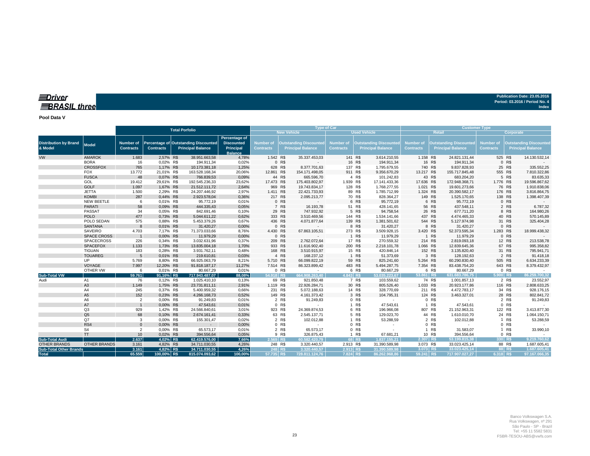### *<u>IDriver</u>* **BRASIL three**

**Publication Date: 23.05.2016 Period: 03.2016 / Period No. 4 Index**

**Pool Data V**

| <b>New Vehicle</b><br><b>Used Vehicle</b><br><b>Retail</b><br>Corporate<br>Percentage of<br>Percentage of Outstanding Discounted<br><b>Discounted</b><br>Number of<br><b>Outstanding Discounted</b><br>Number of<br>Number of<br><b>Outstanding Discounted</b><br><b>Number of</b><br><b>Outstanding Discounted</b><br><b>Distribution by Brand</b><br><b>Number of</b><br><b>Outstanding Discounted</b><br>Model<br>& Model<br><b>Principal Balance</b><br>Principal<br><b>Contracts</b><br><b>Principal Balance</b><br><b>Contracts</b><br><b>Principal Balance</b><br><b>Contracts</b><br><b>Principal Balance</b><br><b>Contracts</b><br><b>Contracts</b><br><b>Contracts</b><br><b>Principal Balance</b><br><b>Balance</b><br><b>AMAROK</b><br>2,57% R\$<br>1.542 R\$<br>1.683<br>38.951.663,58<br>4,78%<br>35.337.453,03<br>141 R\$<br>3.614.210,55<br>1.158 R\$<br>24.821.131,44<br>525 R\$<br>14.130.532,14<br><b>BORA</b><br>0 R\$<br>16 R\$<br>16 R\$<br>0 R\$<br>16<br>0,02% R\$<br>194.911,34<br>0,02%<br>194.911,34<br>194.911,34<br><b>CROSSFOX</b><br>765<br>10.173.381,18<br>1,25%<br>137 R\$<br>1,17% R\$<br>628 R\$<br>1.795.679,55<br>740 R\$<br>9.837.828,93<br>25 R\$<br>335.552,25<br>8.377.701,63<br><b>FOX</b><br>911 R\$<br>555 R\$<br>7.810.322,86<br>13.772<br>21,01% R\$<br>163.528.168,34<br>20,06%<br>12.861 R\$<br>154.171.498,05<br>9.356.670,29<br>13.217 R\$<br>155.717.845,48<br><b>FUSCA</b><br>4 R\$<br>5 R\$<br>48<br>0,07% R\$<br>0,09%<br>44 R\$<br>43 R\$<br>83.635,33<br>766.839,53<br>665.596,70<br>101.242,83<br>683.204,20<br>GOL<br>1.939 R\$<br>1.776 R\$<br>19.412<br>29,61% R\$<br>192.545.236,33<br>23,62%<br>17.473 R\$<br>17.141.433,36<br>17.636 R\$<br>19.596.867,62<br>175.403.802,97<br>172.948.368,71<br><b>GOLF</b><br>128 R\$<br>76 R\$<br>1.097<br>1,67% R\$<br>21.512.111,72<br>2,64%<br>969 R\$<br>19.743.834,17<br>1.768.277,55<br>1.021 R\$<br>19.601.273,66<br>1.910.838,06<br><b>JETTA</b><br>2,29% R\$<br>1.411 R\$<br>89 R\$<br>1.785.712,99<br>1.324 R\$<br>176 R\$<br>1.500<br>24.207.446,92<br>2,97%<br>22.421.733,93<br>20.390.582,17<br>3.816.864,75<br><b>KOMBI</b><br>287<br>0,44% R\$<br>2.923.578.04<br>217 R\$<br>828.364,27<br>149 R\$<br>138 R\$<br>0,36%<br>2.095.213,77<br>70 R\$<br>1.525.170,65<br>1.398.407,39<br>0 R\$<br>6 R\$<br>NEW BEETLE<br>0,01% R\$<br>95.772,19<br>95.772,19<br>6 R\$<br>95.772,19<br>0 R\$<br>6<br>0,01%<br><b>PARATI</b><br>58<br>0,09% R\$<br>7 R\$<br>51 R\$<br>56 R\$<br>6.787,32<br>444.335,43<br>0,05%<br>16.193,78<br>428.141,65<br>437.548,11<br>2 R\$<br>29 R\$<br>5 R\$<br>26 R\$<br>PASSAT<br>747.932,92<br>94.758,54<br>8 R\$<br>164.980,26<br>34<br>0,05% R\$<br>842.691,46<br>0,10%<br>677.711,20<br>144 R\$<br><b>POLO</b><br>477<br>5.044.611,22<br>0,62%<br>333 R\$<br>1.534.141,66<br>437 R\$<br>40 R\$<br>0,73% R\$<br>3.510.469.56<br>4.474.465,33<br>570.145,89<br>POLO SEDAN<br>436 R\$<br>575<br>0,88% R\$<br>5.453.379,26<br>0,67%<br>4.071.877,64<br>139 R\$<br>1.381.501,62<br>544 R\$<br>5.127.974,98<br>31 R\$<br>325.404,28<br><b>SANTANA</b><br>31.420,27<br>0 R\$<br>8 R\$<br>0 R\$<br>$\mathbf{8}$<br>0,01% R\$<br>0,00%<br>31.420,27<br>8 R\$<br>31.420,27<br><b>SAVEIRO</b><br>71.373.033,66<br>4.430 R\$<br>273 R\$<br>3.509.928,15<br>3.420 R\$<br>1.283 R\$<br>4.703<br>7,17% R\$<br>8,76%<br>67.863.105,51<br>52.373.595,34<br>18.999.438,32<br>0 R\$<br>1 R\$<br><b>SPACE CROSS</b><br>0,00% R\$<br>11.979,29<br>11.979,29<br>1 R\$<br>0 R\$<br>0,00%<br>11.979,29<br>17 R\$<br>209 R\$<br>214 R\$<br><b>SPACECROSS</b><br>226<br>0,34% R\$<br>3.032.631.96<br>0.37%<br>270.559,32<br>12 R\$<br>213.538,78<br>2.762.072,64<br>2.819.093,18<br>933 R\$<br>200 R\$<br><b>SPACEFOX</b><br>1,73% R\$<br>13.835.004,18<br>1,70%<br>11.616.902,40<br>2.218.101,78<br>1.066 R\$<br>12.839.645,36<br>67 R\$<br>995.358,82<br>1.133<br><b>TIGUAN</b><br>183<br>0,28% R\$<br>168 R\$<br>15 R\$<br>420.846,14<br>152 R\$<br>31 R\$<br>3.931.762,11<br>0,48%<br>3.510.915,97<br>3.135.820,40<br>795.941,71<br><b>TOUAREG</b><br>0.01% R\$<br>219,610.81<br>4 R\$<br>168.237,12<br>1 R\$<br>51.373,69<br>3 R\$<br>128.192,63<br>2 R\$<br>91.418,18<br>0,03%<br>UP<br>5.769<br>8,80% R\$<br>8,21%<br>5.710 R\$<br>59 R\$<br>5.264 R\$<br>505 R\$<br>6.634.233,39<br>66.925.063,79<br>66.099.822,19<br>825.241,60<br>60.290.830,40<br>VOYAGE<br>7.997<br>12,20% R\$<br>7.514 R\$<br>483 R\$<br>7.354 R\$<br>643 R\$<br>91.818.187,17<br>11,27%<br>5.494.287,75<br>83.438.754,20<br>8.379.432,97<br>86.323.899,42<br>OTHER VW<br>0,01% R\$<br>0 R\$<br>6 R\$<br>6 R\$<br>0 R\$<br>80.667,29<br>0,01%<br>80.667,29<br>80.667,29<br>6<br>86.259.700,32<br>59.761<br>91,16% R\$<br>717.943.487,07<br>88,08%<br>$54.918$ R\$<br>664.908.263.40<br>4.843 R\$<br>53.035.223.67<br>$53.861$ R\$<br>631.683.786,75<br>5.900 R\$<br><b>Sub-Total VW</b><br>A1<br>76<br>0,12% R\$<br>1.025.410,10<br>0,13%<br>69 R\$<br>921.850,48<br>7 R\$<br>103.559,62<br>74 R\$<br>1.001.857,13<br>2 R\$<br>23.552,97<br>Audi<br>A <sub>3</sub><br>1.149<br>1,75% R\$<br>2,91%<br>1.119 R\$<br>30 R\$<br>805.526,40<br>1.033 R\$<br>116 R\$<br>23.731.811,11<br>22.926.284,71<br>20.923.177,86<br>2.808.633,25<br>0,37% R\$<br>231 R\$<br>14 R\$<br>328.770,69<br>211 R\$<br>34 R\$<br>A4<br>245<br>5.400.959,32<br>0,66%<br>5.072.188,63<br>4.472.783,17<br>928.176,15<br>A <sub>5</sub><br>152<br>3 R\$<br>0,23% R\$<br>4.266.168,73<br>0,52%<br>149 R\$<br>104.795,31<br>124 R\$<br>28 R\$<br>4.161.373,42<br>3.463.327,01<br>802.841,72<br>A <sub>6</sub><br>2 R\$<br>0 R\$<br>0 R\$<br>2 R\$<br>$\overline{2}$<br>0.00% R\$<br>91.249.83<br>0.01%<br>91.249.83<br>91.249,83<br>$\sim$<br>A7<br>0 R\$<br>1 R\$<br>0,00% R\$<br>47.543,61<br>0,01%<br>1 R\$<br>47.543,61<br>47.543,61<br>0 R\$<br>Q <sub>3</sub><br>929<br>1,42% R\$<br>923 R\$<br>6 R\$<br>196.966,08<br>807 R\$<br>21.152.963,31<br>122 R\$<br>24.566.840,61<br>3,01%<br>24.369.874,53<br>3.413.877,30<br>Q <sub>5</sub><br>68<br>44 R\$<br>0,10% R\$<br>63 R\$<br>5 R\$<br>24 R\$<br>2.674.161,41<br>0,33%<br>2.545.137,71<br>129.023,70<br>1.610.010,70<br>1.064.150,71<br>Q7<br>0,00% R\$<br>0,02%<br>2 R\$<br>1 R\$<br>53.288,59<br>2 R\$<br>1 R\$<br>53.288,59<br>3<br>155.301,47<br>102.012,88<br>102.012,88<br>RS4<br>0,00% R\$<br>0 R\$<br>0 R\$<br>0 R\$<br>0 R\$<br>$\Omega$<br>$\sim$<br>0,00%<br>S <sub>4</sub><br>2 R\$<br>R\$<br>$\overline{2}$<br>0,00% R\$<br>65.573,17<br>0,01%<br>65.573,17<br>0 R\$<br>31.583,07<br>R\$<br>33.990,10<br>$\mathbf{1}$<br>$\mathbf{1}$<br><b>TT</b><br>10<br>0,02% R\$<br>394.556,64<br>9 R\$<br>326.875,43<br>R\$<br>10 R\$<br>394.556,64<br>0 R\$<br>0,05%<br>67.681,21<br>$\mathbf{1}$<br>2.637<br>4.02% R\$<br>$2.307$ R\$<br>9.219.760,62<br><b>Sub-Total Audi</b><br>62.419.576.00<br>7.66%<br>2.569 R\$<br>60.582.420.79<br>68 RS<br>1.837.155.21<br>53.199.815,38<br>330 R\$<br><b>OTHER BRANDS</b><br>3.161<br>4,82% R\$<br>4,26%<br>248 R\$<br>2.913 R\$<br>88 R\$<br><b>OTHER BRANDS</b><br>34.711.030,55<br>31.390.589,98<br>3.073 R\$<br>33.023.425.14<br>1.687.605,41<br>3.320.440,57<br>4,82% R\$<br>3.073 R\$<br>3.161<br>248 R\$<br>2.913 RS<br>33.023.425.14<br>88 RS<br>1.687.605,41<br><b>Sub-Total Other Brands</b><br>34.711.030.55<br>4.26%<br>3.320.440.57<br>31.390.589.98<br>65.559<br>100.00%<br>59.241 R\$<br>6.318 RS<br>97.167.066.35<br>100.00% R\$<br>815.074.093.62<br>57.735 R\$<br>728.811.124,76<br>7.824 R\$<br>86.262.968.86<br>717.907.027.27<br><b>Total</b> |           |  |                       | <b>Type of Car</b> |  | <b>Customer Type</b> |  |  |  |  |  |  |  |  |  |
|--------------------------------------------------------------------------------------------------------------------------------------------------------------------------------------------------------------------------------------------------------------------------------------------------------------------------------------------------------------------------------------------------------------------------------------------------------------------------------------------------------------------------------------------------------------------------------------------------------------------------------------------------------------------------------------------------------------------------------------------------------------------------------------------------------------------------------------------------------------------------------------------------------------------------------------------------------------------------------------------------------------------------------------------------------------------------------------------------------------------------------------------------------------------------------------------------------------------------------------------------------------------------------------------------------------------------------------------------------------------------------------------------------------------------------------------------------------------------------------------------------------------------------------------------------------------------------------------------------------------------------------------------------------------------------------------------------------------------------------------------------------------------------------------------------------------------------------------------------------------------------------------------------------------------------------------------------------------------------------------------------------------------------------------------------------------------------------------------------------------------------------------------------------------------------------------------------------------------------------------------------------------------------------------------------------------------------------------------------------------------------------------------------------------------------------------------------------------------------------------------------------------------------------------------------------------------------------------------------------------------------------------------------------------------------------------------------------------------------------------------------------------------------------------------------------------------------------------------------------------------------------------------------------------------------------------------------------------------------------------------------------------------------------------------------------------------------------------------------------------------------------------------------------------------------------------------------------------------------------------------------------------------------------------------------------------------------------------------------------------------------------------------------------------------------------------------------------------------------------------------------------------------------------------------------------------------------------------------------------------------------------------------------------------------------------------------------------------------------------------------------------------------------------------------------------------------------------------------------------------------------------------------------------------------------------------------------------------------------------------------------------------------------------------------------------------------------------------------------------------------------------------------------------------------------------------------------------------------------------------------------------------------------------------------------------------------------------------------------------------------------------------------------------------------------------------------------------------------------------------------------------------------------------------------------------------------------------------------------------------------------------------------------------------------------------------------------------------------------------------------------------------------------------------------------------------------------------------------------------------------------------------------------------------------------------------------------------------------------------------------------------------------------------------------------------------------------------------------------------------------------------------------------------------------------------------------------------------------------------------------------------------------------------------------------------------------------------------------------------------------------------------------------------------------------------------------------------------------------------------------------------------------------------------------------------------------------------------------------------------------------------------------------------------------------------------------------------------------------------------------------------------------------------------------------------------------------------------------------------------------------------------------------------------------------------------------------------------------------------------------------------------------------------------------------------------------------------------------------------------------------------------------------------------------------------------------------------------------------------------------------------------------------------------------------------------------------------------------------------------------------------------------------------------------------------------------------------------------------------------------------------------------------------------------------------------------------------------------------------------------------------------------------------------------------------------------------------------------------------------------------------------------------------------------------------------------------------------------------------------------------------------------------------------------------------------------------------------------------------------------------------------------------------------------------------------------------------------------------------------------------------------------------------------------------------------------------------------------------------------------------------------------------------------------------------------------------------------------------------------------------------------------------------------------------------------------------------------------------------------------------------------------------------------|-----------|--|-----------------------|--------------------|--|----------------------|--|--|--|--|--|--|--|--|--|
|                                                                                                                                                                                                                                                                                                                                                                                                                                                                                                                                                                                                                                                                                                                                                                                                                                                                                                                                                                                                                                                                                                                                                                                                                                                                                                                                                                                                                                                                                                                                                                                                                                                                                                                                                                                                                                                                                                                                                                                                                                                                                                                                                                                                                                                                                                                                                                                                                                                                                                                                                                                                                                                                                                                                                                                                                                                                                                                                                                                                                                                                                                                                                                                                                                                                                                                                                                                                                                                                                                                                                                                                                                                                                                                                                                                                                                                                                                                                                                                                                                                                                                                                                                                                                                                                                                                                                                                                                                                                                                                                                                                                                                                                                                                                                                                                                                                                                                                                                                                                                                                                                                                                                                                                                                                                                                                                                                                                                                                                                                                                                                                                                                                                                                                                                                                                                                                                                                                                                                                                                                                                                                                                                                                                                                                                                                                                                                                                                                                                                                                                                                                                                                                                                                                                                                                                                                                                                                                                                                                                                                                                                                                                                                                                                                                                                                                                                                                                                                                                                                                                            |           |  | <b>Total Porfolio</b> |                    |  |                      |  |  |  |  |  |  |  |  |  |
|                                                                                                                                                                                                                                                                                                                                                                                                                                                                                                                                                                                                                                                                                                                                                                                                                                                                                                                                                                                                                                                                                                                                                                                                                                                                                                                                                                                                                                                                                                                                                                                                                                                                                                                                                                                                                                                                                                                                                                                                                                                                                                                                                                                                                                                                                                                                                                                                                                                                                                                                                                                                                                                                                                                                                                                                                                                                                                                                                                                                                                                                                                                                                                                                                                                                                                                                                                                                                                                                                                                                                                                                                                                                                                                                                                                                                                                                                                                                                                                                                                                                                                                                                                                                                                                                                                                                                                                                                                                                                                                                                                                                                                                                                                                                                                                                                                                                                                                                                                                                                                                                                                                                                                                                                                                                                                                                                                                                                                                                                                                                                                                                                                                                                                                                                                                                                                                                                                                                                                                                                                                                                                                                                                                                                                                                                                                                                                                                                                                                                                                                                                                                                                                                                                                                                                                                                                                                                                                                                                                                                                                                                                                                                                                                                                                                                                                                                                                                                                                                                                                                            |           |  |                       |                    |  |                      |  |  |  |  |  |  |  |  |  |
|                                                                                                                                                                                                                                                                                                                                                                                                                                                                                                                                                                                                                                                                                                                                                                                                                                                                                                                                                                                                                                                                                                                                                                                                                                                                                                                                                                                                                                                                                                                                                                                                                                                                                                                                                                                                                                                                                                                                                                                                                                                                                                                                                                                                                                                                                                                                                                                                                                                                                                                                                                                                                                                                                                                                                                                                                                                                                                                                                                                                                                                                                                                                                                                                                                                                                                                                                                                                                                                                                                                                                                                                                                                                                                                                                                                                                                                                                                                                                                                                                                                                                                                                                                                                                                                                                                                                                                                                                                                                                                                                                                                                                                                                                                                                                                                                                                                                                                                                                                                                                                                                                                                                                                                                                                                                                                                                                                                                                                                                                                                                                                                                                                                                                                                                                                                                                                                                                                                                                                                                                                                                                                                                                                                                                                                                                                                                                                                                                                                                                                                                                                                                                                                                                                                                                                                                                                                                                                                                                                                                                                                                                                                                                                                                                                                                                                                                                                                                                                                                                                                                            | <b>VW</b> |  |                       |                    |  |                      |  |  |  |  |  |  |  |  |  |
|                                                                                                                                                                                                                                                                                                                                                                                                                                                                                                                                                                                                                                                                                                                                                                                                                                                                                                                                                                                                                                                                                                                                                                                                                                                                                                                                                                                                                                                                                                                                                                                                                                                                                                                                                                                                                                                                                                                                                                                                                                                                                                                                                                                                                                                                                                                                                                                                                                                                                                                                                                                                                                                                                                                                                                                                                                                                                                                                                                                                                                                                                                                                                                                                                                                                                                                                                                                                                                                                                                                                                                                                                                                                                                                                                                                                                                                                                                                                                                                                                                                                                                                                                                                                                                                                                                                                                                                                                                                                                                                                                                                                                                                                                                                                                                                                                                                                                                                                                                                                                                                                                                                                                                                                                                                                                                                                                                                                                                                                                                                                                                                                                                                                                                                                                                                                                                                                                                                                                                                                                                                                                                                                                                                                                                                                                                                                                                                                                                                                                                                                                                                                                                                                                                                                                                                                                                                                                                                                                                                                                                                                                                                                                                                                                                                                                                                                                                                                                                                                                                                                            |           |  |                       |                    |  |                      |  |  |  |  |  |  |  |  |  |
|                                                                                                                                                                                                                                                                                                                                                                                                                                                                                                                                                                                                                                                                                                                                                                                                                                                                                                                                                                                                                                                                                                                                                                                                                                                                                                                                                                                                                                                                                                                                                                                                                                                                                                                                                                                                                                                                                                                                                                                                                                                                                                                                                                                                                                                                                                                                                                                                                                                                                                                                                                                                                                                                                                                                                                                                                                                                                                                                                                                                                                                                                                                                                                                                                                                                                                                                                                                                                                                                                                                                                                                                                                                                                                                                                                                                                                                                                                                                                                                                                                                                                                                                                                                                                                                                                                                                                                                                                                                                                                                                                                                                                                                                                                                                                                                                                                                                                                                                                                                                                                                                                                                                                                                                                                                                                                                                                                                                                                                                                                                                                                                                                                                                                                                                                                                                                                                                                                                                                                                                                                                                                                                                                                                                                                                                                                                                                                                                                                                                                                                                                                                                                                                                                                                                                                                                                                                                                                                                                                                                                                                                                                                                                                                                                                                                                                                                                                                                                                                                                                                                            |           |  |                       |                    |  |                      |  |  |  |  |  |  |  |  |  |
|                                                                                                                                                                                                                                                                                                                                                                                                                                                                                                                                                                                                                                                                                                                                                                                                                                                                                                                                                                                                                                                                                                                                                                                                                                                                                                                                                                                                                                                                                                                                                                                                                                                                                                                                                                                                                                                                                                                                                                                                                                                                                                                                                                                                                                                                                                                                                                                                                                                                                                                                                                                                                                                                                                                                                                                                                                                                                                                                                                                                                                                                                                                                                                                                                                                                                                                                                                                                                                                                                                                                                                                                                                                                                                                                                                                                                                                                                                                                                                                                                                                                                                                                                                                                                                                                                                                                                                                                                                                                                                                                                                                                                                                                                                                                                                                                                                                                                                                                                                                                                                                                                                                                                                                                                                                                                                                                                                                                                                                                                                                                                                                                                                                                                                                                                                                                                                                                                                                                                                                                                                                                                                                                                                                                                                                                                                                                                                                                                                                                                                                                                                                                                                                                                                                                                                                                                                                                                                                                                                                                                                                                                                                                                                                                                                                                                                                                                                                                                                                                                                                                            |           |  |                       |                    |  |                      |  |  |  |  |  |  |  |  |  |
|                                                                                                                                                                                                                                                                                                                                                                                                                                                                                                                                                                                                                                                                                                                                                                                                                                                                                                                                                                                                                                                                                                                                                                                                                                                                                                                                                                                                                                                                                                                                                                                                                                                                                                                                                                                                                                                                                                                                                                                                                                                                                                                                                                                                                                                                                                                                                                                                                                                                                                                                                                                                                                                                                                                                                                                                                                                                                                                                                                                                                                                                                                                                                                                                                                                                                                                                                                                                                                                                                                                                                                                                                                                                                                                                                                                                                                                                                                                                                                                                                                                                                                                                                                                                                                                                                                                                                                                                                                                                                                                                                                                                                                                                                                                                                                                                                                                                                                                                                                                                                                                                                                                                                                                                                                                                                                                                                                                                                                                                                                                                                                                                                                                                                                                                                                                                                                                                                                                                                                                                                                                                                                                                                                                                                                                                                                                                                                                                                                                                                                                                                                                                                                                                                                                                                                                                                                                                                                                                                                                                                                                                                                                                                                                                                                                                                                                                                                                                                                                                                                                                            |           |  |                       |                    |  |                      |  |  |  |  |  |  |  |  |  |
|                                                                                                                                                                                                                                                                                                                                                                                                                                                                                                                                                                                                                                                                                                                                                                                                                                                                                                                                                                                                                                                                                                                                                                                                                                                                                                                                                                                                                                                                                                                                                                                                                                                                                                                                                                                                                                                                                                                                                                                                                                                                                                                                                                                                                                                                                                                                                                                                                                                                                                                                                                                                                                                                                                                                                                                                                                                                                                                                                                                                                                                                                                                                                                                                                                                                                                                                                                                                                                                                                                                                                                                                                                                                                                                                                                                                                                                                                                                                                                                                                                                                                                                                                                                                                                                                                                                                                                                                                                                                                                                                                                                                                                                                                                                                                                                                                                                                                                                                                                                                                                                                                                                                                                                                                                                                                                                                                                                                                                                                                                                                                                                                                                                                                                                                                                                                                                                                                                                                                                                                                                                                                                                                                                                                                                                                                                                                                                                                                                                                                                                                                                                                                                                                                                                                                                                                                                                                                                                                                                                                                                                                                                                                                                                                                                                                                                                                                                                                                                                                                                                                            |           |  |                       |                    |  |                      |  |  |  |  |  |  |  |  |  |
|                                                                                                                                                                                                                                                                                                                                                                                                                                                                                                                                                                                                                                                                                                                                                                                                                                                                                                                                                                                                                                                                                                                                                                                                                                                                                                                                                                                                                                                                                                                                                                                                                                                                                                                                                                                                                                                                                                                                                                                                                                                                                                                                                                                                                                                                                                                                                                                                                                                                                                                                                                                                                                                                                                                                                                                                                                                                                                                                                                                                                                                                                                                                                                                                                                                                                                                                                                                                                                                                                                                                                                                                                                                                                                                                                                                                                                                                                                                                                                                                                                                                                                                                                                                                                                                                                                                                                                                                                                                                                                                                                                                                                                                                                                                                                                                                                                                                                                                                                                                                                                                                                                                                                                                                                                                                                                                                                                                                                                                                                                                                                                                                                                                                                                                                                                                                                                                                                                                                                                                                                                                                                                                                                                                                                                                                                                                                                                                                                                                                                                                                                                                                                                                                                                                                                                                                                                                                                                                                                                                                                                                                                                                                                                                                                                                                                                                                                                                                                                                                                                                                            |           |  |                       |                    |  |                      |  |  |  |  |  |  |  |  |  |
|                                                                                                                                                                                                                                                                                                                                                                                                                                                                                                                                                                                                                                                                                                                                                                                                                                                                                                                                                                                                                                                                                                                                                                                                                                                                                                                                                                                                                                                                                                                                                                                                                                                                                                                                                                                                                                                                                                                                                                                                                                                                                                                                                                                                                                                                                                                                                                                                                                                                                                                                                                                                                                                                                                                                                                                                                                                                                                                                                                                                                                                                                                                                                                                                                                                                                                                                                                                                                                                                                                                                                                                                                                                                                                                                                                                                                                                                                                                                                                                                                                                                                                                                                                                                                                                                                                                                                                                                                                                                                                                                                                                                                                                                                                                                                                                                                                                                                                                                                                                                                                                                                                                                                                                                                                                                                                                                                                                                                                                                                                                                                                                                                                                                                                                                                                                                                                                                                                                                                                                                                                                                                                                                                                                                                                                                                                                                                                                                                                                                                                                                                                                                                                                                                                                                                                                                                                                                                                                                                                                                                                                                                                                                                                                                                                                                                                                                                                                                                                                                                                                                            |           |  |                       |                    |  |                      |  |  |  |  |  |  |  |  |  |
|                                                                                                                                                                                                                                                                                                                                                                                                                                                                                                                                                                                                                                                                                                                                                                                                                                                                                                                                                                                                                                                                                                                                                                                                                                                                                                                                                                                                                                                                                                                                                                                                                                                                                                                                                                                                                                                                                                                                                                                                                                                                                                                                                                                                                                                                                                                                                                                                                                                                                                                                                                                                                                                                                                                                                                                                                                                                                                                                                                                                                                                                                                                                                                                                                                                                                                                                                                                                                                                                                                                                                                                                                                                                                                                                                                                                                                                                                                                                                                                                                                                                                                                                                                                                                                                                                                                                                                                                                                                                                                                                                                                                                                                                                                                                                                                                                                                                                                                                                                                                                                                                                                                                                                                                                                                                                                                                                                                                                                                                                                                                                                                                                                                                                                                                                                                                                                                                                                                                                                                                                                                                                                                                                                                                                                                                                                                                                                                                                                                                                                                                                                                                                                                                                                                                                                                                                                                                                                                                                                                                                                                                                                                                                                                                                                                                                                                                                                                                                                                                                                                                            |           |  |                       |                    |  |                      |  |  |  |  |  |  |  |  |  |
|                                                                                                                                                                                                                                                                                                                                                                                                                                                                                                                                                                                                                                                                                                                                                                                                                                                                                                                                                                                                                                                                                                                                                                                                                                                                                                                                                                                                                                                                                                                                                                                                                                                                                                                                                                                                                                                                                                                                                                                                                                                                                                                                                                                                                                                                                                                                                                                                                                                                                                                                                                                                                                                                                                                                                                                                                                                                                                                                                                                                                                                                                                                                                                                                                                                                                                                                                                                                                                                                                                                                                                                                                                                                                                                                                                                                                                                                                                                                                                                                                                                                                                                                                                                                                                                                                                                                                                                                                                                                                                                                                                                                                                                                                                                                                                                                                                                                                                                                                                                                                                                                                                                                                                                                                                                                                                                                                                                                                                                                                                                                                                                                                                                                                                                                                                                                                                                                                                                                                                                                                                                                                                                                                                                                                                                                                                                                                                                                                                                                                                                                                                                                                                                                                                                                                                                                                                                                                                                                                                                                                                                                                                                                                                                                                                                                                                                                                                                                                                                                                                                                            |           |  |                       |                    |  |                      |  |  |  |  |  |  |  |  |  |
|                                                                                                                                                                                                                                                                                                                                                                                                                                                                                                                                                                                                                                                                                                                                                                                                                                                                                                                                                                                                                                                                                                                                                                                                                                                                                                                                                                                                                                                                                                                                                                                                                                                                                                                                                                                                                                                                                                                                                                                                                                                                                                                                                                                                                                                                                                                                                                                                                                                                                                                                                                                                                                                                                                                                                                                                                                                                                                                                                                                                                                                                                                                                                                                                                                                                                                                                                                                                                                                                                                                                                                                                                                                                                                                                                                                                                                                                                                                                                                                                                                                                                                                                                                                                                                                                                                                                                                                                                                                                                                                                                                                                                                                                                                                                                                                                                                                                                                                                                                                                                                                                                                                                                                                                                                                                                                                                                                                                                                                                                                                                                                                                                                                                                                                                                                                                                                                                                                                                                                                                                                                                                                                                                                                                                                                                                                                                                                                                                                                                                                                                                                                                                                                                                                                                                                                                                                                                                                                                                                                                                                                                                                                                                                                                                                                                                                                                                                                                                                                                                                                                            |           |  |                       |                    |  |                      |  |  |  |  |  |  |  |  |  |
|                                                                                                                                                                                                                                                                                                                                                                                                                                                                                                                                                                                                                                                                                                                                                                                                                                                                                                                                                                                                                                                                                                                                                                                                                                                                                                                                                                                                                                                                                                                                                                                                                                                                                                                                                                                                                                                                                                                                                                                                                                                                                                                                                                                                                                                                                                                                                                                                                                                                                                                                                                                                                                                                                                                                                                                                                                                                                                                                                                                                                                                                                                                                                                                                                                                                                                                                                                                                                                                                                                                                                                                                                                                                                                                                                                                                                                                                                                                                                                                                                                                                                                                                                                                                                                                                                                                                                                                                                                                                                                                                                                                                                                                                                                                                                                                                                                                                                                                                                                                                                                                                                                                                                                                                                                                                                                                                                                                                                                                                                                                                                                                                                                                                                                                                                                                                                                                                                                                                                                                                                                                                                                                                                                                                                                                                                                                                                                                                                                                                                                                                                                                                                                                                                                                                                                                                                                                                                                                                                                                                                                                                                                                                                                                                                                                                                                                                                                                                                                                                                                                                            |           |  |                       |                    |  |                      |  |  |  |  |  |  |  |  |  |
|                                                                                                                                                                                                                                                                                                                                                                                                                                                                                                                                                                                                                                                                                                                                                                                                                                                                                                                                                                                                                                                                                                                                                                                                                                                                                                                                                                                                                                                                                                                                                                                                                                                                                                                                                                                                                                                                                                                                                                                                                                                                                                                                                                                                                                                                                                                                                                                                                                                                                                                                                                                                                                                                                                                                                                                                                                                                                                                                                                                                                                                                                                                                                                                                                                                                                                                                                                                                                                                                                                                                                                                                                                                                                                                                                                                                                                                                                                                                                                                                                                                                                                                                                                                                                                                                                                                                                                                                                                                                                                                                                                                                                                                                                                                                                                                                                                                                                                                                                                                                                                                                                                                                                                                                                                                                                                                                                                                                                                                                                                                                                                                                                                                                                                                                                                                                                                                                                                                                                                                                                                                                                                                                                                                                                                                                                                                                                                                                                                                                                                                                                                                                                                                                                                                                                                                                                                                                                                                                                                                                                                                                                                                                                                                                                                                                                                                                                                                                                                                                                                                                            |           |  |                       |                    |  |                      |  |  |  |  |  |  |  |  |  |
|                                                                                                                                                                                                                                                                                                                                                                                                                                                                                                                                                                                                                                                                                                                                                                                                                                                                                                                                                                                                                                                                                                                                                                                                                                                                                                                                                                                                                                                                                                                                                                                                                                                                                                                                                                                                                                                                                                                                                                                                                                                                                                                                                                                                                                                                                                                                                                                                                                                                                                                                                                                                                                                                                                                                                                                                                                                                                                                                                                                                                                                                                                                                                                                                                                                                                                                                                                                                                                                                                                                                                                                                                                                                                                                                                                                                                                                                                                                                                                                                                                                                                                                                                                                                                                                                                                                                                                                                                                                                                                                                                                                                                                                                                                                                                                                                                                                                                                                                                                                                                                                                                                                                                                                                                                                                                                                                                                                                                                                                                                                                                                                                                                                                                                                                                                                                                                                                                                                                                                                                                                                                                                                                                                                                                                                                                                                                                                                                                                                                                                                                                                                                                                                                                                                                                                                                                                                                                                                                                                                                                                                                                                                                                                                                                                                                                                                                                                                                                                                                                                                                            |           |  |                       |                    |  |                      |  |  |  |  |  |  |  |  |  |
|                                                                                                                                                                                                                                                                                                                                                                                                                                                                                                                                                                                                                                                                                                                                                                                                                                                                                                                                                                                                                                                                                                                                                                                                                                                                                                                                                                                                                                                                                                                                                                                                                                                                                                                                                                                                                                                                                                                                                                                                                                                                                                                                                                                                                                                                                                                                                                                                                                                                                                                                                                                                                                                                                                                                                                                                                                                                                                                                                                                                                                                                                                                                                                                                                                                                                                                                                                                                                                                                                                                                                                                                                                                                                                                                                                                                                                                                                                                                                                                                                                                                                                                                                                                                                                                                                                                                                                                                                                                                                                                                                                                                                                                                                                                                                                                                                                                                                                                                                                                                                                                                                                                                                                                                                                                                                                                                                                                                                                                                                                                                                                                                                                                                                                                                                                                                                                                                                                                                                                                                                                                                                                                                                                                                                                                                                                                                                                                                                                                                                                                                                                                                                                                                                                                                                                                                                                                                                                                                                                                                                                                                                                                                                                                                                                                                                                                                                                                                                                                                                                                                            |           |  |                       |                    |  |                      |  |  |  |  |  |  |  |  |  |
|                                                                                                                                                                                                                                                                                                                                                                                                                                                                                                                                                                                                                                                                                                                                                                                                                                                                                                                                                                                                                                                                                                                                                                                                                                                                                                                                                                                                                                                                                                                                                                                                                                                                                                                                                                                                                                                                                                                                                                                                                                                                                                                                                                                                                                                                                                                                                                                                                                                                                                                                                                                                                                                                                                                                                                                                                                                                                                                                                                                                                                                                                                                                                                                                                                                                                                                                                                                                                                                                                                                                                                                                                                                                                                                                                                                                                                                                                                                                                                                                                                                                                                                                                                                                                                                                                                                                                                                                                                                                                                                                                                                                                                                                                                                                                                                                                                                                                                                                                                                                                                                                                                                                                                                                                                                                                                                                                                                                                                                                                                                                                                                                                                                                                                                                                                                                                                                                                                                                                                                                                                                                                                                                                                                                                                                                                                                                                                                                                                                                                                                                                                                                                                                                                                                                                                                                                                                                                                                                                                                                                                                                                                                                                                                                                                                                                                                                                                                                                                                                                                                                            |           |  |                       |                    |  |                      |  |  |  |  |  |  |  |  |  |
|                                                                                                                                                                                                                                                                                                                                                                                                                                                                                                                                                                                                                                                                                                                                                                                                                                                                                                                                                                                                                                                                                                                                                                                                                                                                                                                                                                                                                                                                                                                                                                                                                                                                                                                                                                                                                                                                                                                                                                                                                                                                                                                                                                                                                                                                                                                                                                                                                                                                                                                                                                                                                                                                                                                                                                                                                                                                                                                                                                                                                                                                                                                                                                                                                                                                                                                                                                                                                                                                                                                                                                                                                                                                                                                                                                                                                                                                                                                                                                                                                                                                                                                                                                                                                                                                                                                                                                                                                                                                                                                                                                                                                                                                                                                                                                                                                                                                                                                                                                                                                                                                                                                                                                                                                                                                                                                                                                                                                                                                                                                                                                                                                                                                                                                                                                                                                                                                                                                                                                                                                                                                                                                                                                                                                                                                                                                                                                                                                                                                                                                                                                                                                                                                                                                                                                                                                                                                                                                                                                                                                                                                                                                                                                                                                                                                                                                                                                                                                                                                                                                                            |           |  |                       |                    |  |                      |  |  |  |  |  |  |  |  |  |
|                                                                                                                                                                                                                                                                                                                                                                                                                                                                                                                                                                                                                                                                                                                                                                                                                                                                                                                                                                                                                                                                                                                                                                                                                                                                                                                                                                                                                                                                                                                                                                                                                                                                                                                                                                                                                                                                                                                                                                                                                                                                                                                                                                                                                                                                                                                                                                                                                                                                                                                                                                                                                                                                                                                                                                                                                                                                                                                                                                                                                                                                                                                                                                                                                                                                                                                                                                                                                                                                                                                                                                                                                                                                                                                                                                                                                                                                                                                                                                                                                                                                                                                                                                                                                                                                                                                                                                                                                                                                                                                                                                                                                                                                                                                                                                                                                                                                                                                                                                                                                                                                                                                                                                                                                                                                                                                                                                                                                                                                                                                                                                                                                                                                                                                                                                                                                                                                                                                                                                                                                                                                                                                                                                                                                                                                                                                                                                                                                                                                                                                                                                                                                                                                                                                                                                                                                                                                                                                                                                                                                                                                                                                                                                                                                                                                                                                                                                                                                                                                                                                                            |           |  |                       |                    |  |                      |  |  |  |  |  |  |  |  |  |
|                                                                                                                                                                                                                                                                                                                                                                                                                                                                                                                                                                                                                                                                                                                                                                                                                                                                                                                                                                                                                                                                                                                                                                                                                                                                                                                                                                                                                                                                                                                                                                                                                                                                                                                                                                                                                                                                                                                                                                                                                                                                                                                                                                                                                                                                                                                                                                                                                                                                                                                                                                                                                                                                                                                                                                                                                                                                                                                                                                                                                                                                                                                                                                                                                                                                                                                                                                                                                                                                                                                                                                                                                                                                                                                                                                                                                                                                                                                                                                                                                                                                                                                                                                                                                                                                                                                                                                                                                                                                                                                                                                                                                                                                                                                                                                                                                                                                                                                                                                                                                                                                                                                                                                                                                                                                                                                                                                                                                                                                                                                                                                                                                                                                                                                                                                                                                                                                                                                                                                                                                                                                                                                                                                                                                                                                                                                                                                                                                                                                                                                                                                                                                                                                                                                                                                                                                                                                                                                                                                                                                                                                                                                                                                                                                                                                                                                                                                                                                                                                                                                                            |           |  |                       |                    |  |                      |  |  |  |  |  |  |  |  |  |
|                                                                                                                                                                                                                                                                                                                                                                                                                                                                                                                                                                                                                                                                                                                                                                                                                                                                                                                                                                                                                                                                                                                                                                                                                                                                                                                                                                                                                                                                                                                                                                                                                                                                                                                                                                                                                                                                                                                                                                                                                                                                                                                                                                                                                                                                                                                                                                                                                                                                                                                                                                                                                                                                                                                                                                                                                                                                                                                                                                                                                                                                                                                                                                                                                                                                                                                                                                                                                                                                                                                                                                                                                                                                                                                                                                                                                                                                                                                                                                                                                                                                                                                                                                                                                                                                                                                                                                                                                                                                                                                                                                                                                                                                                                                                                                                                                                                                                                                                                                                                                                                                                                                                                                                                                                                                                                                                                                                                                                                                                                                                                                                                                                                                                                                                                                                                                                                                                                                                                                                                                                                                                                                                                                                                                                                                                                                                                                                                                                                                                                                                                                                                                                                                                                                                                                                                                                                                                                                                                                                                                                                                                                                                                                                                                                                                                                                                                                                                                                                                                                                                            |           |  |                       |                    |  |                      |  |  |  |  |  |  |  |  |  |
|                                                                                                                                                                                                                                                                                                                                                                                                                                                                                                                                                                                                                                                                                                                                                                                                                                                                                                                                                                                                                                                                                                                                                                                                                                                                                                                                                                                                                                                                                                                                                                                                                                                                                                                                                                                                                                                                                                                                                                                                                                                                                                                                                                                                                                                                                                                                                                                                                                                                                                                                                                                                                                                                                                                                                                                                                                                                                                                                                                                                                                                                                                                                                                                                                                                                                                                                                                                                                                                                                                                                                                                                                                                                                                                                                                                                                                                                                                                                                                                                                                                                                                                                                                                                                                                                                                                                                                                                                                                                                                                                                                                                                                                                                                                                                                                                                                                                                                                                                                                                                                                                                                                                                                                                                                                                                                                                                                                                                                                                                                                                                                                                                                                                                                                                                                                                                                                                                                                                                                                                                                                                                                                                                                                                                                                                                                                                                                                                                                                                                                                                                                                                                                                                                                                                                                                                                                                                                                                                                                                                                                                                                                                                                                                                                                                                                                                                                                                                                                                                                                                                            |           |  |                       |                    |  |                      |  |  |  |  |  |  |  |  |  |
|                                                                                                                                                                                                                                                                                                                                                                                                                                                                                                                                                                                                                                                                                                                                                                                                                                                                                                                                                                                                                                                                                                                                                                                                                                                                                                                                                                                                                                                                                                                                                                                                                                                                                                                                                                                                                                                                                                                                                                                                                                                                                                                                                                                                                                                                                                                                                                                                                                                                                                                                                                                                                                                                                                                                                                                                                                                                                                                                                                                                                                                                                                                                                                                                                                                                                                                                                                                                                                                                                                                                                                                                                                                                                                                                                                                                                                                                                                                                                                                                                                                                                                                                                                                                                                                                                                                                                                                                                                                                                                                                                                                                                                                                                                                                                                                                                                                                                                                                                                                                                                                                                                                                                                                                                                                                                                                                                                                                                                                                                                                                                                                                                                                                                                                                                                                                                                                                                                                                                                                                                                                                                                                                                                                                                                                                                                                                                                                                                                                                                                                                                                                                                                                                                                                                                                                                                                                                                                                                                                                                                                                                                                                                                                                                                                                                                                                                                                                                                                                                                                                                            |           |  |                       |                    |  |                      |  |  |  |  |  |  |  |  |  |
|                                                                                                                                                                                                                                                                                                                                                                                                                                                                                                                                                                                                                                                                                                                                                                                                                                                                                                                                                                                                                                                                                                                                                                                                                                                                                                                                                                                                                                                                                                                                                                                                                                                                                                                                                                                                                                                                                                                                                                                                                                                                                                                                                                                                                                                                                                                                                                                                                                                                                                                                                                                                                                                                                                                                                                                                                                                                                                                                                                                                                                                                                                                                                                                                                                                                                                                                                                                                                                                                                                                                                                                                                                                                                                                                                                                                                                                                                                                                                                                                                                                                                                                                                                                                                                                                                                                                                                                                                                                                                                                                                                                                                                                                                                                                                                                                                                                                                                                                                                                                                                                                                                                                                                                                                                                                                                                                                                                                                                                                                                                                                                                                                                                                                                                                                                                                                                                                                                                                                                                                                                                                                                                                                                                                                                                                                                                                                                                                                                                                                                                                                                                                                                                                                                                                                                                                                                                                                                                                                                                                                                                                                                                                                                                                                                                                                                                                                                                                                                                                                                                                            |           |  |                       |                    |  |                      |  |  |  |  |  |  |  |  |  |
|                                                                                                                                                                                                                                                                                                                                                                                                                                                                                                                                                                                                                                                                                                                                                                                                                                                                                                                                                                                                                                                                                                                                                                                                                                                                                                                                                                                                                                                                                                                                                                                                                                                                                                                                                                                                                                                                                                                                                                                                                                                                                                                                                                                                                                                                                                                                                                                                                                                                                                                                                                                                                                                                                                                                                                                                                                                                                                                                                                                                                                                                                                                                                                                                                                                                                                                                                                                                                                                                                                                                                                                                                                                                                                                                                                                                                                                                                                                                                                                                                                                                                                                                                                                                                                                                                                                                                                                                                                                                                                                                                                                                                                                                                                                                                                                                                                                                                                                                                                                                                                                                                                                                                                                                                                                                                                                                                                                                                                                                                                                                                                                                                                                                                                                                                                                                                                                                                                                                                                                                                                                                                                                                                                                                                                                                                                                                                                                                                                                                                                                                                                                                                                                                                                                                                                                                                                                                                                                                                                                                                                                                                                                                                                                                                                                                                                                                                                                                                                                                                                                                            |           |  |                       |                    |  |                      |  |  |  |  |  |  |  |  |  |
|                                                                                                                                                                                                                                                                                                                                                                                                                                                                                                                                                                                                                                                                                                                                                                                                                                                                                                                                                                                                                                                                                                                                                                                                                                                                                                                                                                                                                                                                                                                                                                                                                                                                                                                                                                                                                                                                                                                                                                                                                                                                                                                                                                                                                                                                                                                                                                                                                                                                                                                                                                                                                                                                                                                                                                                                                                                                                                                                                                                                                                                                                                                                                                                                                                                                                                                                                                                                                                                                                                                                                                                                                                                                                                                                                                                                                                                                                                                                                                                                                                                                                                                                                                                                                                                                                                                                                                                                                                                                                                                                                                                                                                                                                                                                                                                                                                                                                                                                                                                                                                                                                                                                                                                                                                                                                                                                                                                                                                                                                                                                                                                                                                                                                                                                                                                                                                                                                                                                                                                                                                                                                                                                                                                                                                                                                                                                                                                                                                                                                                                                                                                                                                                                                                                                                                                                                                                                                                                                                                                                                                                                                                                                                                                                                                                                                                                                                                                                                                                                                                                                            |           |  |                       |                    |  |                      |  |  |  |  |  |  |  |  |  |
|                                                                                                                                                                                                                                                                                                                                                                                                                                                                                                                                                                                                                                                                                                                                                                                                                                                                                                                                                                                                                                                                                                                                                                                                                                                                                                                                                                                                                                                                                                                                                                                                                                                                                                                                                                                                                                                                                                                                                                                                                                                                                                                                                                                                                                                                                                                                                                                                                                                                                                                                                                                                                                                                                                                                                                                                                                                                                                                                                                                                                                                                                                                                                                                                                                                                                                                                                                                                                                                                                                                                                                                                                                                                                                                                                                                                                                                                                                                                                                                                                                                                                                                                                                                                                                                                                                                                                                                                                                                                                                                                                                                                                                                                                                                                                                                                                                                                                                                                                                                                                                                                                                                                                                                                                                                                                                                                                                                                                                                                                                                                                                                                                                                                                                                                                                                                                                                                                                                                                                                                                                                                                                                                                                                                                                                                                                                                                                                                                                                                                                                                                                                                                                                                                                                                                                                                                                                                                                                                                                                                                                                                                                                                                                                                                                                                                                                                                                                                                                                                                                                                            |           |  |                       |                    |  |                      |  |  |  |  |  |  |  |  |  |
|                                                                                                                                                                                                                                                                                                                                                                                                                                                                                                                                                                                                                                                                                                                                                                                                                                                                                                                                                                                                                                                                                                                                                                                                                                                                                                                                                                                                                                                                                                                                                                                                                                                                                                                                                                                                                                                                                                                                                                                                                                                                                                                                                                                                                                                                                                                                                                                                                                                                                                                                                                                                                                                                                                                                                                                                                                                                                                                                                                                                                                                                                                                                                                                                                                                                                                                                                                                                                                                                                                                                                                                                                                                                                                                                                                                                                                                                                                                                                                                                                                                                                                                                                                                                                                                                                                                                                                                                                                                                                                                                                                                                                                                                                                                                                                                                                                                                                                                                                                                                                                                                                                                                                                                                                                                                                                                                                                                                                                                                                                                                                                                                                                                                                                                                                                                                                                                                                                                                                                                                                                                                                                                                                                                                                                                                                                                                                                                                                                                                                                                                                                                                                                                                                                                                                                                                                                                                                                                                                                                                                                                                                                                                                                                                                                                                                                                                                                                                                                                                                                                                            |           |  |                       |                    |  |                      |  |  |  |  |  |  |  |  |  |
|                                                                                                                                                                                                                                                                                                                                                                                                                                                                                                                                                                                                                                                                                                                                                                                                                                                                                                                                                                                                                                                                                                                                                                                                                                                                                                                                                                                                                                                                                                                                                                                                                                                                                                                                                                                                                                                                                                                                                                                                                                                                                                                                                                                                                                                                                                                                                                                                                                                                                                                                                                                                                                                                                                                                                                                                                                                                                                                                                                                                                                                                                                                                                                                                                                                                                                                                                                                                                                                                                                                                                                                                                                                                                                                                                                                                                                                                                                                                                                                                                                                                                                                                                                                                                                                                                                                                                                                                                                                                                                                                                                                                                                                                                                                                                                                                                                                                                                                                                                                                                                                                                                                                                                                                                                                                                                                                                                                                                                                                                                                                                                                                                                                                                                                                                                                                                                                                                                                                                                                                                                                                                                                                                                                                                                                                                                                                                                                                                                                                                                                                                                                                                                                                                                                                                                                                                                                                                                                                                                                                                                                                                                                                                                                                                                                                                                                                                                                                                                                                                                                                            |           |  |                       |                    |  |                      |  |  |  |  |  |  |  |  |  |
|                                                                                                                                                                                                                                                                                                                                                                                                                                                                                                                                                                                                                                                                                                                                                                                                                                                                                                                                                                                                                                                                                                                                                                                                                                                                                                                                                                                                                                                                                                                                                                                                                                                                                                                                                                                                                                                                                                                                                                                                                                                                                                                                                                                                                                                                                                                                                                                                                                                                                                                                                                                                                                                                                                                                                                                                                                                                                                                                                                                                                                                                                                                                                                                                                                                                                                                                                                                                                                                                                                                                                                                                                                                                                                                                                                                                                                                                                                                                                                                                                                                                                                                                                                                                                                                                                                                                                                                                                                                                                                                                                                                                                                                                                                                                                                                                                                                                                                                                                                                                                                                                                                                                                                                                                                                                                                                                                                                                                                                                                                                                                                                                                                                                                                                                                                                                                                                                                                                                                                                                                                                                                                                                                                                                                                                                                                                                                                                                                                                                                                                                                                                                                                                                                                                                                                                                                                                                                                                                                                                                                                                                                                                                                                                                                                                                                                                                                                                                                                                                                                                                            |           |  |                       |                    |  |                      |  |  |  |  |  |  |  |  |  |
|                                                                                                                                                                                                                                                                                                                                                                                                                                                                                                                                                                                                                                                                                                                                                                                                                                                                                                                                                                                                                                                                                                                                                                                                                                                                                                                                                                                                                                                                                                                                                                                                                                                                                                                                                                                                                                                                                                                                                                                                                                                                                                                                                                                                                                                                                                                                                                                                                                                                                                                                                                                                                                                                                                                                                                                                                                                                                                                                                                                                                                                                                                                                                                                                                                                                                                                                                                                                                                                                                                                                                                                                                                                                                                                                                                                                                                                                                                                                                                                                                                                                                                                                                                                                                                                                                                                                                                                                                                                                                                                                                                                                                                                                                                                                                                                                                                                                                                                                                                                                                                                                                                                                                                                                                                                                                                                                                                                                                                                                                                                                                                                                                                                                                                                                                                                                                                                                                                                                                                                                                                                                                                                                                                                                                                                                                                                                                                                                                                                                                                                                                                                                                                                                                                                                                                                                                                                                                                                                                                                                                                                                                                                                                                                                                                                                                                                                                                                                                                                                                                                                            |           |  |                       |                    |  |                      |  |  |  |  |  |  |  |  |  |
|                                                                                                                                                                                                                                                                                                                                                                                                                                                                                                                                                                                                                                                                                                                                                                                                                                                                                                                                                                                                                                                                                                                                                                                                                                                                                                                                                                                                                                                                                                                                                                                                                                                                                                                                                                                                                                                                                                                                                                                                                                                                                                                                                                                                                                                                                                                                                                                                                                                                                                                                                                                                                                                                                                                                                                                                                                                                                                                                                                                                                                                                                                                                                                                                                                                                                                                                                                                                                                                                                                                                                                                                                                                                                                                                                                                                                                                                                                                                                                                                                                                                                                                                                                                                                                                                                                                                                                                                                                                                                                                                                                                                                                                                                                                                                                                                                                                                                                                                                                                                                                                                                                                                                                                                                                                                                                                                                                                                                                                                                                                                                                                                                                                                                                                                                                                                                                                                                                                                                                                                                                                                                                                                                                                                                                                                                                                                                                                                                                                                                                                                                                                                                                                                                                                                                                                                                                                                                                                                                                                                                                                                                                                                                                                                                                                                                                                                                                                                                                                                                                                                            |           |  |                       |                    |  |                      |  |  |  |  |  |  |  |  |  |
|                                                                                                                                                                                                                                                                                                                                                                                                                                                                                                                                                                                                                                                                                                                                                                                                                                                                                                                                                                                                                                                                                                                                                                                                                                                                                                                                                                                                                                                                                                                                                                                                                                                                                                                                                                                                                                                                                                                                                                                                                                                                                                                                                                                                                                                                                                                                                                                                                                                                                                                                                                                                                                                                                                                                                                                                                                                                                                                                                                                                                                                                                                                                                                                                                                                                                                                                                                                                                                                                                                                                                                                                                                                                                                                                                                                                                                                                                                                                                                                                                                                                                                                                                                                                                                                                                                                                                                                                                                                                                                                                                                                                                                                                                                                                                                                                                                                                                                                                                                                                                                                                                                                                                                                                                                                                                                                                                                                                                                                                                                                                                                                                                                                                                                                                                                                                                                                                                                                                                                                                                                                                                                                                                                                                                                                                                                                                                                                                                                                                                                                                                                                                                                                                                                                                                                                                                                                                                                                                                                                                                                                                                                                                                                                                                                                                                                                                                                                                                                                                                                                                            |           |  |                       |                    |  |                      |  |  |  |  |  |  |  |  |  |
|                                                                                                                                                                                                                                                                                                                                                                                                                                                                                                                                                                                                                                                                                                                                                                                                                                                                                                                                                                                                                                                                                                                                                                                                                                                                                                                                                                                                                                                                                                                                                                                                                                                                                                                                                                                                                                                                                                                                                                                                                                                                                                                                                                                                                                                                                                                                                                                                                                                                                                                                                                                                                                                                                                                                                                                                                                                                                                                                                                                                                                                                                                                                                                                                                                                                                                                                                                                                                                                                                                                                                                                                                                                                                                                                                                                                                                                                                                                                                                                                                                                                                                                                                                                                                                                                                                                                                                                                                                                                                                                                                                                                                                                                                                                                                                                                                                                                                                                                                                                                                                                                                                                                                                                                                                                                                                                                                                                                                                                                                                                                                                                                                                                                                                                                                                                                                                                                                                                                                                                                                                                                                                                                                                                                                                                                                                                                                                                                                                                                                                                                                                                                                                                                                                                                                                                                                                                                                                                                                                                                                                                                                                                                                                                                                                                                                                                                                                                                                                                                                                                                            |           |  |                       |                    |  |                      |  |  |  |  |  |  |  |  |  |
|                                                                                                                                                                                                                                                                                                                                                                                                                                                                                                                                                                                                                                                                                                                                                                                                                                                                                                                                                                                                                                                                                                                                                                                                                                                                                                                                                                                                                                                                                                                                                                                                                                                                                                                                                                                                                                                                                                                                                                                                                                                                                                                                                                                                                                                                                                                                                                                                                                                                                                                                                                                                                                                                                                                                                                                                                                                                                                                                                                                                                                                                                                                                                                                                                                                                                                                                                                                                                                                                                                                                                                                                                                                                                                                                                                                                                                                                                                                                                                                                                                                                                                                                                                                                                                                                                                                                                                                                                                                                                                                                                                                                                                                                                                                                                                                                                                                                                                                                                                                                                                                                                                                                                                                                                                                                                                                                                                                                                                                                                                                                                                                                                                                                                                                                                                                                                                                                                                                                                                                                                                                                                                                                                                                                                                                                                                                                                                                                                                                                                                                                                                                                                                                                                                                                                                                                                                                                                                                                                                                                                                                                                                                                                                                                                                                                                                                                                                                                                                                                                                                                            |           |  |                       |                    |  |                      |  |  |  |  |  |  |  |  |  |
|                                                                                                                                                                                                                                                                                                                                                                                                                                                                                                                                                                                                                                                                                                                                                                                                                                                                                                                                                                                                                                                                                                                                                                                                                                                                                                                                                                                                                                                                                                                                                                                                                                                                                                                                                                                                                                                                                                                                                                                                                                                                                                                                                                                                                                                                                                                                                                                                                                                                                                                                                                                                                                                                                                                                                                                                                                                                                                                                                                                                                                                                                                                                                                                                                                                                                                                                                                                                                                                                                                                                                                                                                                                                                                                                                                                                                                                                                                                                                                                                                                                                                                                                                                                                                                                                                                                                                                                                                                                                                                                                                                                                                                                                                                                                                                                                                                                                                                                                                                                                                                                                                                                                                                                                                                                                                                                                                                                                                                                                                                                                                                                                                                                                                                                                                                                                                                                                                                                                                                                                                                                                                                                                                                                                                                                                                                                                                                                                                                                                                                                                                                                                                                                                                                                                                                                                                                                                                                                                                                                                                                                                                                                                                                                                                                                                                                                                                                                                                                                                                                                                            |           |  |                       |                    |  |                      |  |  |  |  |  |  |  |  |  |
|                                                                                                                                                                                                                                                                                                                                                                                                                                                                                                                                                                                                                                                                                                                                                                                                                                                                                                                                                                                                                                                                                                                                                                                                                                                                                                                                                                                                                                                                                                                                                                                                                                                                                                                                                                                                                                                                                                                                                                                                                                                                                                                                                                                                                                                                                                                                                                                                                                                                                                                                                                                                                                                                                                                                                                                                                                                                                                                                                                                                                                                                                                                                                                                                                                                                                                                                                                                                                                                                                                                                                                                                                                                                                                                                                                                                                                                                                                                                                                                                                                                                                                                                                                                                                                                                                                                                                                                                                                                                                                                                                                                                                                                                                                                                                                                                                                                                                                                                                                                                                                                                                                                                                                                                                                                                                                                                                                                                                                                                                                                                                                                                                                                                                                                                                                                                                                                                                                                                                                                                                                                                                                                                                                                                                                                                                                                                                                                                                                                                                                                                                                                                                                                                                                                                                                                                                                                                                                                                                                                                                                                                                                                                                                                                                                                                                                                                                                                                                                                                                                                                            |           |  |                       |                    |  |                      |  |  |  |  |  |  |  |  |  |
|                                                                                                                                                                                                                                                                                                                                                                                                                                                                                                                                                                                                                                                                                                                                                                                                                                                                                                                                                                                                                                                                                                                                                                                                                                                                                                                                                                                                                                                                                                                                                                                                                                                                                                                                                                                                                                                                                                                                                                                                                                                                                                                                                                                                                                                                                                                                                                                                                                                                                                                                                                                                                                                                                                                                                                                                                                                                                                                                                                                                                                                                                                                                                                                                                                                                                                                                                                                                                                                                                                                                                                                                                                                                                                                                                                                                                                                                                                                                                                                                                                                                                                                                                                                                                                                                                                                                                                                                                                                                                                                                                                                                                                                                                                                                                                                                                                                                                                                                                                                                                                                                                                                                                                                                                                                                                                                                                                                                                                                                                                                                                                                                                                                                                                                                                                                                                                                                                                                                                                                                                                                                                                                                                                                                                                                                                                                                                                                                                                                                                                                                                                                                                                                                                                                                                                                                                                                                                                                                                                                                                                                                                                                                                                                                                                                                                                                                                                                                                                                                                                                                            |           |  |                       |                    |  |                      |  |  |  |  |  |  |  |  |  |
|                                                                                                                                                                                                                                                                                                                                                                                                                                                                                                                                                                                                                                                                                                                                                                                                                                                                                                                                                                                                                                                                                                                                                                                                                                                                                                                                                                                                                                                                                                                                                                                                                                                                                                                                                                                                                                                                                                                                                                                                                                                                                                                                                                                                                                                                                                                                                                                                                                                                                                                                                                                                                                                                                                                                                                                                                                                                                                                                                                                                                                                                                                                                                                                                                                                                                                                                                                                                                                                                                                                                                                                                                                                                                                                                                                                                                                                                                                                                                                                                                                                                                                                                                                                                                                                                                                                                                                                                                                                                                                                                                                                                                                                                                                                                                                                                                                                                                                                                                                                                                                                                                                                                                                                                                                                                                                                                                                                                                                                                                                                                                                                                                                                                                                                                                                                                                                                                                                                                                                                                                                                                                                                                                                                                                                                                                                                                                                                                                                                                                                                                                                                                                                                                                                                                                                                                                                                                                                                                                                                                                                                                                                                                                                                                                                                                                                                                                                                                                                                                                                                                            |           |  |                       |                    |  |                      |  |  |  |  |  |  |  |  |  |
|                                                                                                                                                                                                                                                                                                                                                                                                                                                                                                                                                                                                                                                                                                                                                                                                                                                                                                                                                                                                                                                                                                                                                                                                                                                                                                                                                                                                                                                                                                                                                                                                                                                                                                                                                                                                                                                                                                                                                                                                                                                                                                                                                                                                                                                                                                                                                                                                                                                                                                                                                                                                                                                                                                                                                                                                                                                                                                                                                                                                                                                                                                                                                                                                                                                                                                                                                                                                                                                                                                                                                                                                                                                                                                                                                                                                                                                                                                                                                                                                                                                                                                                                                                                                                                                                                                                                                                                                                                                                                                                                                                                                                                                                                                                                                                                                                                                                                                                                                                                                                                                                                                                                                                                                                                                                                                                                                                                                                                                                                                                                                                                                                                                                                                                                                                                                                                                                                                                                                                                                                                                                                                                                                                                                                                                                                                                                                                                                                                                                                                                                                                                                                                                                                                                                                                                                                                                                                                                                                                                                                                                                                                                                                                                                                                                                                                                                                                                                                                                                                                                                            |           |  |                       |                    |  |                      |  |  |  |  |  |  |  |  |  |
|                                                                                                                                                                                                                                                                                                                                                                                                                                                                                                                                                                                                                                                                                                                                                                                                                                                                                                                                                                                                                                                                                                                                                                                                                                                                                                                                                                                                                                                                                                                                                                                                                                                                                                                                                                                                                                                                                                                                                                                                                                                                                                                                                                                                                                                                                                                                                                                                                                                                                                                                                                                                                                                                                                                                                                                                                                                                                                                                                                                                                                                                                                                                                                                                                                                                                                                                                                                                                                                                                                                                                                                                                                                                                                                                                                                                                                                                                                                                                                                                                                                                                                                                                                                                                                                                                                                                                                                                                                                                                                                                                                                                                                                                                                                                                                                                                                                                                                                                                                                                                                                                                                                                                                                                                                                                                                                                                                                                                                                                                                                                                                                                                                                                                                                                                                                                                                                                                                                                                                                                                                                                                                                                                                                                                                                                                                                                                                                                                                                                                                                                                                                                                                                                                                                                                                                                                                                                                                                                                                                                                                                                                                                                                                                                                                                                                                                                                                                                                                                                                                                                            |           |  |                       |                    |  |                      |  |  |  |  |  |  |  |  |  |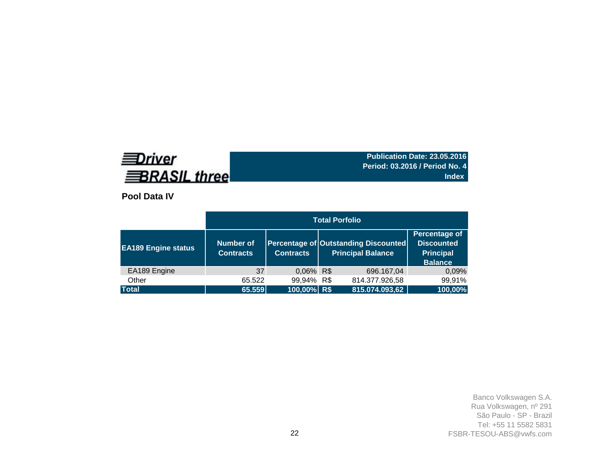# **EDriver BRASIL three**

**Publication Date: 23.05.2016 Period: 03.2016 / Period No. 4 Index**

**Pool Data IV**

| <b>EA189</b> Engine status | <b>Number of</b><br><b>Contracts</b> | <b>Contracts</b> | Percentage of Outstanding Discounted<br><b>Principal Balance</b> | Percentage of<br><b>Discounted</b><br><b>Principal</b><br><b>Balance</b> |
|----------------------------|--------------------------------------|------------------|------------------------------------------------------------------|--------------------------------------------------------------------------|
| EA189 Engine               | 37                                   | 0.06% R\$        | 696.167,04                                                       | 0,09%                                                                    |
| Other                      | 65.522                               | 99,94% R\$       | 814.377.926,58                                                   | 99,91%                                                                   |
| <b>Total</b>               | 65.559                               | 100,00% R\$      | 815.074.093,62                                                   | 100,00%                                                                  |